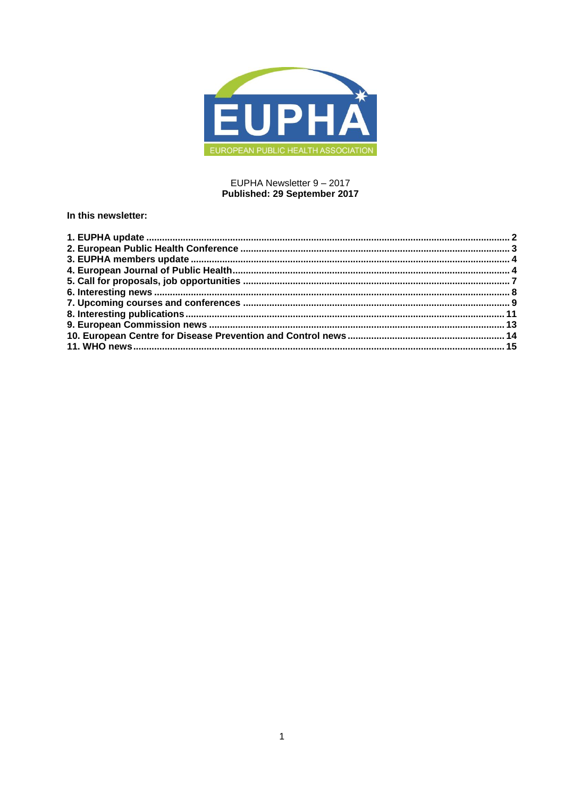

## EUPHA Newsletter 9 - 2017 Published: 29 September 2017

## In this newsletter: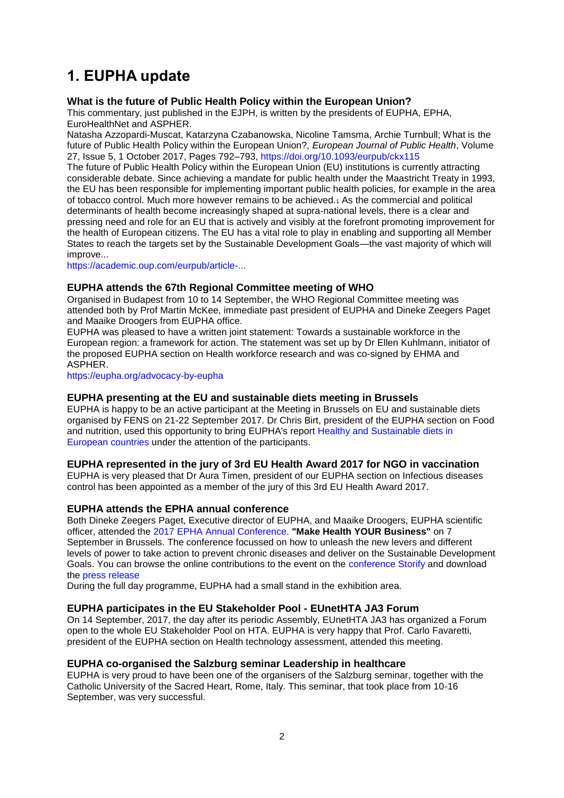# <span id="page-1-0"></span>**1. EUPHA update**

## **What is the future of Public Health Policy within the European Union?**

This commentary, just published in the EJPH, is written by the presidents of EUPHA, EPHA, EuroHealthNet and ASPHER.

Natasha Azzopardi-Muscat, Katarzyna Czabanowska, Nicoline Tamsma, Archie Turnbull; What is the future of Public Health Policy within the European Union?, *European Journal of Public Health*, Volume 27, Issue 5, 1 October 2017, Pages 792–793,<https://doi.org/10.1093/eurpub/ckx115>

The future of Public Health Policy within the European Union (EU) institutions is currently attracting considerable debate. Since achieving a mandate for public health under the Maastricht Treaty in 1993, the EU has been responsible for implementing important public health policies, for example in the area of tobacco control. Much more however remains to be achieved.<sup>1</sup> As the commercial and political determinants of health become increasingly shaped at supra-national levels, there is a clear and pressing need and role for an EU that is actively and visibly at the forefront promoting improvement for the health of European citizens. The EU has a vital role to play in enabling and supporting all Member States to reach the targets set by the Sustainable Development Goals—the vast majority of which will improve...

[https://academic.oup.com/eurpub/article-...](https://academic.oup.com/eurpub/article-abstract/27/5/792/4080279/What-is-the-future-of-Public-Health-Policy-within?redirectedFrom=fulltext)

## **EUPHA attends the 67th Regional Committee meeting of WHO**

Organised in Budapest from 10 to 14 September, the WHO Regional Committee meeting was attended both by Prof Martin McKee, immediate past president of EUPHA and Dineke Zeegers Paget and Maaike Droogers from EUPHA office.

EUPHA was pleased to have a written joint statement: Towards a sustainable workforce in the European region: a framework for action. The statement was set up by Dr Ellen Kuhlmann, initiator of the proposed EUPHA section on Health workforce research and was co-signed by EHMA and ASPHER.

<https://eupha.org/advocacy-by-eupha>

## **EUPHA presenting at the EU and sustainable diets meeting in Brussels**

EUPHA is happy to be an active participant at the Meeting in Brussels on EU and sustainable diets organised by FENS on 21-22 September 2017. Dr Chris Birt, president of the EUPHA section on Food and nutrition, used this opportunity to bring EUPHA's report [Healthy and Sustainable diets in](https://eupha.org/repository/advocacy/EUPHA_report_on_healthy_and_sustainable_diets_20-05-2017.pdf)  [European countries](https://eupha.org/repository/advocacy/EUPHA_report_on_healthy_and_sustainable_diets_20-05-2017.pdf) under the attention of the participants.

## **EUPHA represented in the jury of 3rd EU Health Award 2017 for NGO in vaccination**

EUPHA is very pleased that Dr Aura Timen, president of our EUPHA section on Infectious diseases control has been appointed as a member of the jury of this 3rd EU Health Award 2017.

## **EUPHA attends the EPHA annual conference**

Both Dineke Zeegers Paget, Executive director of EUPHA, and Maaike Droogers, EUPHA scientific officer, attended the [2017 EPHA Annual Conference.](https://epha.org/epha-2017/) **"Make Health YOUR Business"** on 7 September in Brussels. The conference focussed on how to unleash the new levers and different levels of power to take action to prevent chronic diseases and deliver on the Sustainable Development Goals. You can browse the online contributions to the event on the [conference Storify](https://storify.com/EPHA_EU/make-health-your-business) and download the [press release](https://epha.org/epha-2017-call-to-international-action-chronic-diseases-crisis/)

During the full day programme, EUPHA had a small stand in the exhibition area.

## **EUPHA participates in the EU Stakeholder Pool - EUnetHTA JA3 Forum**

On 14 September, 2017, the day after its periodic Assembly, EUnetHTA JA3 has organized a Forum open to the whole EU Stakeholder Pool on HTA. EUPHA is very happy that Prof. Carlo Favaretti, president of the EUPHA section on Health technology assessment, attended this meeting.

## **EUPHA co-organised the Salzburg seminar Leadership in healthcare**

EUPHA is very proud to have been one of the organisers of the Salzburg seminar, together with the Catholic University of the Sacred Heart, Rome, Italy. This seminar, that took place from 10-16 September, was very successful.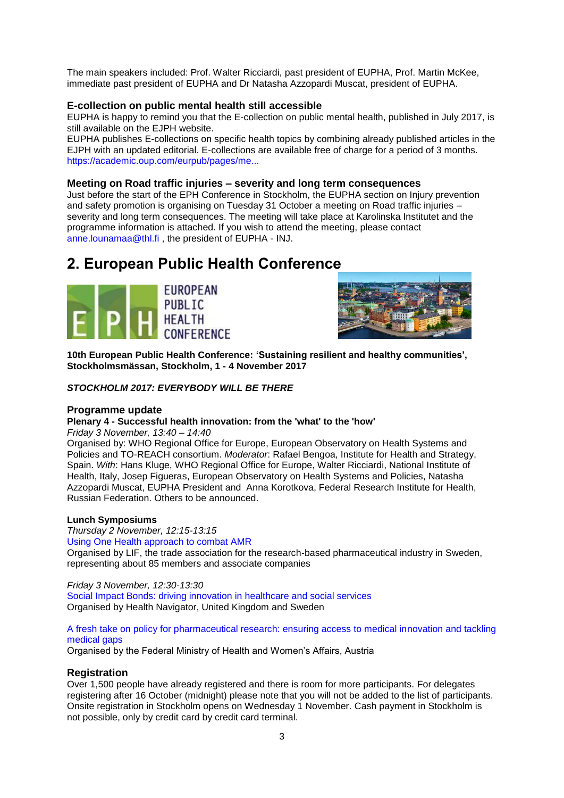The main speakers included: Prof. Walter Ricciardi, past president of EUPHA, Prof. Martin McKee, immediate past president of EUPHA and Dr Natasha Azzopardi Muscat, president of EUPHA.

## **E-collection on public mental health still accessible**

EUPHA is happy to remind you that the E-collection on public mental health, published in July 2017, is still available on the EJPH website.

EUPHA publishes E-collections on specific health topics by combining already published articles in the EJPH with an updated editorial. E-collections are available free of charge for a period of 3 months. [https://academic.oup.com/eurpub/pages/me...](https://academic.oup.com/eurpub/pages/mental_health_and_mental_disorder)

#### **Meeting on Road traffic injuries – severity and long term consequences**

Just before the start of the EPH Conference in Stockholm, the EUPHA section on Injury prevention and safety promotion is organising on Tuesday 31 October a meeting on Road traffic injuries – severity and long term consequences. The meeting will take place at Karolinska Institutet and the programme information is attached. If you wish to attend the meeting, please contact [anne.lounamaa@thl.fi](mailto:anne.lounamaa@thl.fi) , the president of EUPHA - INJ.

## <span id="page-2-0"></span>**2. European Public Health Conference**





**10th European Public Health Conference: 'Sustaining resilient and healthy communities', Stockholmsmässan, Stockholm, 1 - 4 November 2017**

### *STOCKHOLM 2017: EVERYBODY WILL BE THERE*

#### **Programme update**

## **Plenary 4 - Successful health innovation: from the 'what' to the 'how'**

*Friday 3 November, 13:40 – 14:40*

Organised by: WHO Regional Office for Europe, European Observatory on Health Systems and Policies and TO-REACH consortium. *Moderator*: Rafael Bengoa, Institute for Health and Strategy, Spain. *With*: Hans Kluge, WHO Regional Office for Europe, Walter Ricciardi, National Institute of Health, Italy, Josep Figueras, European Observatory on Health Systems and Policies, Natasha Azzopardi Muscat, EUPHA President and Anna Korotkova, Federal Research Institute for Health, Russian Federation. Others to be announced.

#### **Lunch Symposiums**

*Thursday 2 November, 12:15-13:15*

#### [Using One Health approach to combat AMR](https://ephconference.eu/lunch-symposiums-367)

Organised by LIF, the trade association for the research-based pharmaceutical industry in Sweden, representing about 85 members and associate companies

#### *Friday 3 November, 12:30-13:30*

[Social Impact Bonds: driving innovation in healthcare and social services](https://ephconference.eu/lunch-symposiums-368) Organised by Health Navigator, United Kingdom and Sweden

#### [A fresh take on policy for pharmaceutical research: ensuring access to medical innovation and tackling](https://ephconference.eu/lunch-symposiums-369)  medical gaps

Organised by the Federal Ministry of Health and Women's Affairs, Austria

#### **Registration**

Over 1,500 people have already registered and there is room for more participants. For delegates registering after 16 October (midnight) please note that you will not be added to the list of participants. Onsite registration in Stockholm opens on Wednesday 1 November. Cash payment in Stockholm is not possible, only by credit card by credit card terminal.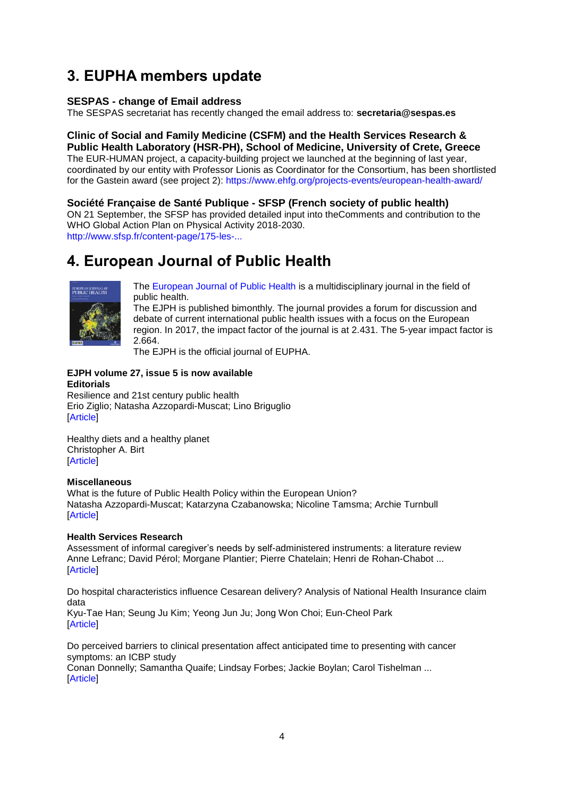# <span id="page-3-0"></span>**3. EUPHA members update**

## **SESPAS - change of Email address**

The SESPAS secretariat has recently changed the email address to: **secretaria@sespas.es**

## **Clinic of Social and Family Medicine (CSFM) and the Health Services Research & Public Health Laboratory (HSR-PH), School of Medicine, University of Crete, Greece**

The EUR-HUMAN project, a capacity-building project we launched at the beginning of last year, coordinated by our entity with Professor Lionis as Coordinator for the Consortium, has been shortlisted for the Gastein award (see project 2):<https://www.ehfg.org/projects-events/european-health-award/>

## **Société Française de Santé Publique - SFSP (French society of public health)**

ON 21 September, the SFSP has provided detailed input into theComments and contribution to the WHO Global Action Plan on Physical Activity 2018-2030.

[http://www.sfsp.fr/content-page/175-les-...](http://www.sfsp.fr/content-page/175-les-contributions-de-la-sfsp/8189-la-sfsp-apporte-sa-contribution-a-l-ecriture-du-futur-global-action-plan-for-physical-activity-de-l-oms)

# <span id="page-3-1"></span>**4. European Journal of Public Health**



[The European Journal of Public Health](http://eurpub.oxfordjournals.org/) is a multidisciplinary journal in the field of public health.

The EJPH is published bimonthly. The journal provides a forum for discussion and debate of current international public health issues with a focus on the European region. In 2017, the impact factor of the journal is at 2.431. The 5-year impact factor is 2.664.

The EJPH is the official journal of EUPHA.

## **EJPH volume 27, issue 5 is now available Editorials**

[Resilience and 21st century public health](http://euphapedia.eupha.org/newsletter/https:/academic.oup.com/eurpub/article/27/5/789/4209884/Resilience-and-21st-century-public-health) [Erio Ziglio;](http://euphapedia.eupha.org/newsletter/https:/academic.oup.com/eurpub/search-results?f_Authors=Erio+Ziglio) [Natasha Azzopardi-Muscat;](http://euphapedia.eupha.org/newsletter/https:/academic.oup.com/eurpub/search-results?f_Authors=Natasha+Azzopardi-Muscat) [Lino Briguglio](http://euphapedia.eupha.org/newsletter/https:/academic.oup.com/eurpub/search-results?f_Authors=Lino+Briguglio) [\[Article\]](https://academic.oup.com/eurpub/article/27/5/789/4209884/Resilience-and-21st-century-public-health?searchresult=1)

[Healthy diets and a healthy planet](http://euphapedia.eupha.org/newsletter/https:/academic.oup.com/eurpub/article/27/5/790/4209876/Healthy-diets-and-a-healthy-planet) [Christopher A. Birt](http://euphapedia.eupha.org/newsletter/https:/academic.oup.com/eurpub/search-results?f_Authors=Christopher+A.+Birt) [\[Article\]](https://academic.oup.com/eurpub/article/27/5/790/4209876/Healthy-diets-and-a-healthy-planet?searchresult=1)

## **Miscellaneous**

[What is the future of Public Health Policy within the European Union?](http://euphapedia.eupha.org/newsletter/https:/academic.oup.com/eurpub/article/27/5/792/4080279/What-is-the-future-of-Public-Health-Policy-within) [Natasha Azzopardi-Muscat;](http://euphapedia.eupha.org/newsletter/https:/academic.oup.com/eurpub/search-results?f_Authors=Natasha+Azzopardi-Muscat) [Katarzyna Czabanowska;](http://euphapedia.eupha.org/newsletter/https:/academic.oup.com/eurpub/search-results?f_Authors=Katarzyna+Czabanowska) [Nicoline Tamsma;](http://euphapedia.eupha.org/newsletter/https:/academic.oup.com/eurpub/search-results?f_Authors=Nicoline+Tamsma) [Archie Turnbull](http://euphapedia.eupha.org/newsletter/https:/academic.oup.com/eurpub/search-results?f_Authors=Archie+Turnbull) [\[Article\]](https://academic.oup.com/eurpub/article/27/5/792/4080279/What-is-the-future-of-Public-Health-Policy-within?searchresult=1)

## **Health Services Research**

[Assessment of informal caregiver's needs by self-administered instruments: a literature review](http://euphapedia.eupha.org/newsletter/https:/academic.oup.com/eurpub/article/27/5/796/3976038/Assessment-of-informal-caregiver-s-needs-by-self) [Anne Lefranc;](http://euphapedia.eupha.org/newsletter/https:/academic.oup.com/eurpub/search-results?f_Authors=Anne+Lefranc) [David Pérol;](http://euphapedia.eupha.org/newsletter/https:/academic.oup.com/eurpub/search-results?f_Authors=David+P%c3%a9rol) [Morgane Plantier;](http://euphapedia.eupha.org/newsletter/https:/academic.oup.com/eurpub/search-results?f_Authors=Morgane+Plantier) [Pierre Chatelain;](http://euphapedia.eupha.org/newsletter/https:/academic.oup.com/eurpub/search-results?f_Authors=Pierre+Chatelain) [Henri de Rohan-Chabot](http://euphapedia.eupha.org/newsletter/https:/academic.oup.com/eurpub/search-results?f_Authors=Henri+de+Rohan-Chabot) ... **[\[Article\]](https://academic.oup.com/eurpub/article/27/5/796/3976038/Assessment-of-informal-caregiver-s-needs-by-self?searchresult=1)** 

[Do hospital characteristics influence Cesarean delivery? Analysis of National Health Insurance claim](http://euphapedia.eupha.org/newsletter/https:/academic.oup.com/eurpub/article/27/5/801/3803433/Do-hospital-characteristics-influence-Cesarean)  [data](http://euphapedia.eupha.org/newsletter/https:/academic.oup.com/eurpub/article/27/5/801/3803433/Do-hospital-characteristics-influence-Cesarean)

[Kyu-Tae Han;](http://euphapedia.eupha.org/newsletter/https:/academic.oup.com/eurpub/search-results?f_Authors=Kyu-Tae+Han) [Seung Ju Kim;](http://euphapedia.eupha.org/newsletter/https:/academic.oup.com/eurpub/search-results?f_Authors=Seung+Ju+Kim) [Yeong Jun Ju;](http://euphapedia.eupha.org/newsletter/https:/academic.oup.com/eurpub/search-results?f_Authors=Yeong+Jun+Ju) [Jong Won Choi;](http://euphapedia.eupha.org/newsletter/https:/academic.oup.com/eurpub/search-results?f_Authors=Jong+Won+Choi) [Eun-Cheol Park](http://euphapedia.eupha.org/newsletter/https:/academic.oup.com/eurpub/search-results?f_Authors=Eun-Cheol+Park) [\[Article\]](https://academic.oup.com/eurpub/article/27/5/801/3803433/Do-hospital-characteristics-influence-Cesarean?searchresult=1)

[Do perceived barriers to clinical presentation affect anticipated time to presenting with cancer](http://euphapedia.eupha.org/newsletter/https:/academic.oup.com/eurpub/article/27/5/808/3914729/Do-perceived-barriers-to-clinical-presentation)  [symptoms: an ICBP study](http://euphapedia.eupha.org/newsletter/https:/academic.oup.com/eurpub/article/27/5/808/3914729/Do-perceived-barriers-to-clinical-presentation) [Conan Donnelly;](http://euphapedia.eupha.org/newsletter/https:/academic.oup.com/eurpub/search-results?f_Authors=Conan+Donnelly) [Samantha Quaife;](http://euphapedia.eupha.org/newsletter/https:/academic.oup.com/eurpub/search-results?f_Authors=Samantha+Quaife) [Lindsay Forbes;](http://euphapedia.eupha.org/newsletter/https:/academic.oup.com/eurpub/search-results?f_Authors=Lindsay+Forbes) [Jackie Boylan;](http://euphapedia.eupha.org/newsletter/https:/academic.oup.com/eurpub/search-results?f_Authors=Jackie+Boylan) [Carol Tishelman](http://euphapedia.eupha.org/newsletter/https:/academic.oup.com/eurpub/search-results?f_Authors=Carol+Tishelman) ...

[\[Article\]](https://academic.oup.com/eurpub/article/27/5/808/3914729/Do-perceived-barriers-to-clinical-presentation?searchresult=1)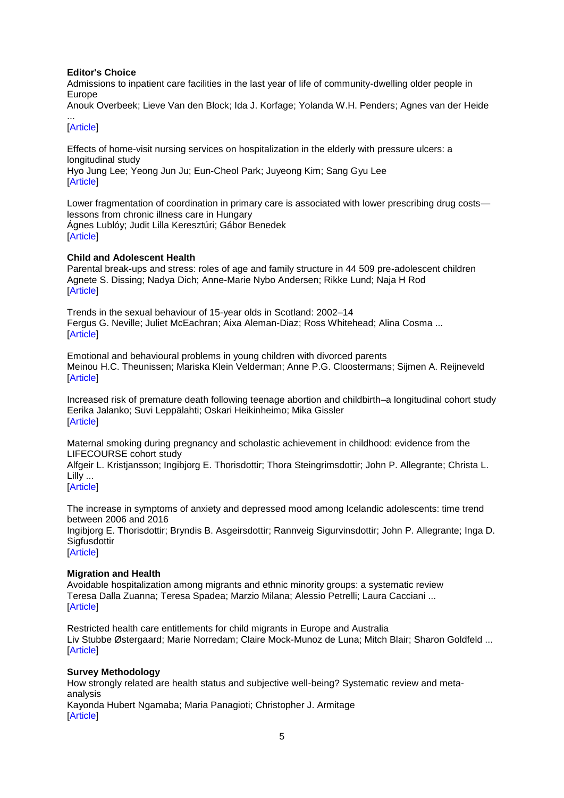### **[Editor's Choice](http://euphapedia.eupha.org/newsletter/https:/academic.oup.com/eurpub/search-results?f_OUPSeries=Editor)**

[Admissions to inpatient care facilities in the last year of life of community-dwelling older people](http://euphapedia.eupha.org/newsletter/https:/academic.oup.com/eurpub/article/27/5/814/4055904/Admissions-to-inpatient-care-facilities-in-the) in [Europe](http://euphapedia.eupha.org/newsletter/https:/academic.oup.com/eurpub/article/27/5/814/4055904/Admissions-to-inpatient-care-facilities-in-the)

[Anouk Overbeek;](http://euphapedia.eupha.org/newsletter/https:/academic.oup.com/eurpub/search-results?f_Authors=Anouk+Overbeek) [Lieve Van den Block;](http://euphapedia.eupha.org/newsletter/https:/academic.oup.com/eurpub/search-results?f_Authors=Lieve+Van+den+Block) [Ida J. Korfage;](http://euphapedia.eupha.org/newsletter/https:/academic.oup.com/eurpub/search-results?f_Authors=Ida+J.+Korfage) [Yolanda W.H. Penders;](http://euphapedia.eupha.org/newsletter/https:/academic.oup.com/eurpub/search-results?f_Authors=Yolanda+W.H.+Penders) [Agnes van der Heide](http://euphapedia.eupha.org/newsletter/https:/academic.oup.com/eurpub/search-results?f_Authors=Agnes+van+der+Heide) ...

## [\[Article\]](https://academic.oup.com/eurpub/article/27/5/814/4055904/Admissions-to-inpatient-care-facilities-in-the?searchresult=1)

[Effects of home-visit nursing services on hospitalization in the elderly with pressure ulcers: a](http://euphapedia.eupha.org/newsletter/https:/academic.oup.com/eurpub/article/27/5/822/3979523/Effects-of-home-visit-nursing-services-on)  [longitudinal study](http://euphapedia.eupha.org/newsletter/https:/academic.oup.com/eurpub/article/27/5/822/3979523/Effects-of-home-visit-nursing-services-on) [Hyo Jung Lee;](http://euphapedia.eupha.org/newsletter/https:/academic.oup.com/eurpub/search-results?f_Authors=Hyo+Jung+Lee) [Yeong Jun Ju;](http://euphapedia.eupha.org/newsletter/https:/academic.oup.com/eurpub/search-results?f_Authors=Yeong+Jun+Ju) [Eun-Cheol Park;](http://euphapedia.eupha.org/newsletter/https:/academic.oup.com/eurpub/search-results?f_Authors=Eun-Cheol+Park) [Juyeong Kim;](http://euphapedia.eupha.org/newsletter/https:/academic.oup.com/eurpub/search-results?f_Authors=Juyeong+Kim) [Sang Gyu Lee](http://euphapedia.eupha.org/newsletter/https:/academic.oup.com/eurpub/search-results?f_Authors=Sang+Gyu+Lee) [\[Article\]](https://academic.oup.com/eurpub/article/27/5/822/3979523/Effects-of-home-visit-nursing-services-on?searchresult=1)

[Lower fragmentation of coordination in primary care is associated with lower prescribing drug costs](http://euphapedia.eupha.org/newsletter/https:/academic.oup.com/eurpub/article/27/5/826/3943646/Lower-fragmentation-of-coordination-in-primary) [lessons from chronic illness care in Hungary](http://euphapedia.eupha.org/newsletter/https:/academic.oup.com/eurpub/article/27/5/826/3943646/Lower-fragmentation-of-coordination-in-primary) [Ágnes Lublóy;](http://euphapedia.eupha.org/newsletter/https:/academic.oup.com/eurpub/search-results?f_Authors=%c3%81gnes+Lubl%c3%b3y) [Judit Lilla Keresztúri;](http://euphapedia.eupha.org/newsletter/https:/academic.oup.com/eurpub/search-results?f_Authors=Judit+Lilla+Kereszt%c3%bari) [Gábor Benedek](http://euphapedia.eupha.org/newsletter/https:/academic.oup.com/eurpub/search-results?f_Authors=G%c3%a1bor+Benedek) [\[Article\]](https://academic.oup.com/eurpub/article/27/5/826/3943646/Lower-fragmentation-of-coordination-in-primary?searchresult=1)

## **Child and Adolescent Health**

[Parental break-ups and stress: roles of age and family structure in 44 509 pre-adolescent children](http://euphapedia.eupha.org/newsletter/https:/academic.oup.com/eurpub/article/27/5/829/3760077/Parental-break-ups-and-stress-roles-of-age-amp) [Agnete S. Dissing;](http://euphapedia.eupha.org/newsletter/https:/academic.oup.com/eurpub/search-results?f_Authors=Agnete+S.+Dissing) [Nadya Dich;](http://euphapedia.eupha.org/newsletter/https:/academic.oup.com/eurpub/search-results?f_Authors=Nadya+Dich) [Anne-Marie Nybo Andersen;](http://euphapedia.eupha.org/newsletter/https:/academic.oup.com/eurpub/search-results?f_Authors=Anne-Marie+Nybo+Andersen) [Rikke Lund;](http://euphapedia.eupha.org/newsletter/https:/academic.oup.com/eurpub/search-results?f_Authors=Rikke+Lund) [Naja H Rod](http://euphapedia.eupha.org/newsletter/https:/academic.oup.com/eurpub/search-results?f_Authors=Naja+H+Rod) [\[Article\]](https://academic.oup.com/eurpub/article/27/5/829/3760077/Parental-break-ups-and-stress-roles-of-age-amp?searchresult=1)

[Trends in the sexual behaviour of 15-year olds in Scotland: 2002–14](http://euphapedia.eupha.org/newsletter/https:/academic.oup.com/eurpub/article/27/5/835/3603403/Trends-in-the-sexual-behaviour-of-15-year-olds-in) [Fergus G. Neville;](http://euphapedia.eupha.org/newsletter/https:/academic.oup.com/eurpub/search-results?f_Authors=Fergus+G.+Neville) [Juliet McEachran;](http://euphapedia.eupha.org/newsletter/https:/academic.oup.com/eurpub/search-results?f_Authors=Juliet+McEachran) [Aixa Aleman-Diaz;](http://euphapedia.eupha.org/newsletter/https:/academic.oup.com/eurpub/search-results?f_Authors=Aixa+Aleman-Diaz) [Ross Whitehead;](http://euphapedia.eupha.org/newsletter/https:/academic.oup.com/eurpub/search-results?f_Authors=Ross+Whitehead) [Alina Cosma](http://euphapedia.eupha.org/newsletter/https:/academic.oup.com/eurpub/search-results?f_Authors=Alina+Cosma) ... [\[Article\]](https://academic.oup.com/eurpub/article/27/5/835/3603403/Trends-in-the-sexual-behaviour-of-15-year-olds-in?searchresult=1)

[Emotional and behavioural problems in young children with divorced parents](http://euphapedia.eupha.org/newsletter/https:/academic.oup.com/eurpub/article/27/5/840/3867014/Emotional-and-behavioural-problems-in-young) [Meinou H.C. Theunissen;](http://euphapedia.eupha.org/newsletter/https:/academic.oup.com/eurpub/search-results?f_Authors=Meinou+H.C.+Theunissen) [Mariska Klein Velderman;](http://euphapedia.eupha.org/newsletter/https:/academic.oup.com/eurpub/search-results?f_Authors=Mariska+Klein+Velderman) [Anne P.G. Cloostermans;](http://euphapedia.eupha.org/newsletter/https:/academic.oup.com/eurpub/search-results?f_Authors=Anne+P.G.+Cloostermans) [Sijmen A. Reijneveld](http://euphapedia.eupha.org/newsletter/https:/academic.oup.com/eurpub/search-results?f_Authors=Sijmen+A.+Reijneveld) **[\[Article\]](https://academic.oup.com/eurpub/article/27/5/840/3867014/Emotional-and-behavioural-problems-in-young?searchresult=1)** 

[Increased risk of premature death following teenage abortion and childbirth–a longitudinal cohort study](http://euphapedia.eupha.org/newsletter/https:/academic.oup.com/eurpub/article/27/5/845/3828490/Increased-risk-of-premature-death-following) [Eerika Jalanko;](http://euphapedia.eupha.org/newsletter/https:/academic.oup.com/eurpub/search-results?f_Authors=Eerika+Jalanko) [Suvi Leppälahti;](http://euphapedia.eupha.org/newsletter/https:/academic.oup.com/eurpub/search-results?f_Authors=Suvi+Lepp%c3%a4lahti) [Oskari Heikinheimo;](http://euphapedia.eupha.org/newsletter/https:/academic.oup.com/eurpub/search-results?f_Authors=Oskari+Heikinheimo) [Mika Gissler](http://euphapedia.eupha.org/newsletter/https:/academic.oup.com/eurpub/search-results?f_Authors=Mika+Gissler) [\[Article\]](https://academic.oup.com/eurpub/article/27/5/845/3828490/Increased-risk-of-premature-death-following?searchresult=1)

[Maternal smoking during pregnancy and scholastic achievement in childhood: evidence from the](http://euphapedia.eupha.org/newsletter/https:/academic.oup.com/eurpub/article/27/5/850/3857723/Maternal-smoking-during-pregnancy-and-scholastic)  [LIFECOURSE cohort study](http://euphapedia.eupha.org/newsletter/https:/academic.oup.com/eurpub/article/27/5/850/3857723/Maternal-smoking-during-pregnancy-and-scholastic)

[Alfgeir L. Kristjansson;](http://euphapedia.eupha.org/newsletter/https:/academic.oup.com/eurpub/search-results?f_Authors=Alfgeir+L.+Kristjansson) [Ingibjorg E. Thorisdottir;](http://euphapedia.eupha.org/newsletter/https:/academic.oup.com/eurpub/search-results?f_Authors=Ingibjorg+E.+Thorisdottir) [Thora Steingrimsdottir;](http://euphapedia.eupha.org/newsletter/https:/academic.oup.com/eurpub/search-results?f_Authors=Thora+Steingrimsdottir) [John P. Allegrante;](http://euphapedia.eupha.org/newsletter/https:/academic.oup.com/eurpub/search-results?f_Authors=John+P.+Allegrante) [Christa L.](http://euphapedia.eupha.org/newsletter/https:/academic.oup.com/eurpub/search-results?f_Authors=Christa+L.+Lilly)  [Lilly](http://euphapedia.eupha.org/newsletter/https:/academic.oup.com/eurpub/search-results?f_Authors=Christa+L.+Lilly) ...

[\[Article\]](https://academic.oup.com/eurpub/article/27/5/850/3857723/Maternal-smoking-during-pregnancy-and-scholastic?searchresult=1)

[The increase in symptoms of anxiety and depressed mood among Icelandic adolescents: time trend](http://euphapedia.eupha.org/newsletter/https:/academic.oup.com/eurpub/article/27/5/856/4049609/The-increase-in-symptoms-of-anxiety-and-depressed)  [between 2006 and 2016](http://euphapedia.eupha.org/newsletter/https:/academic.oup.com/eurpub/article/27/5/856/4049609/The-increase-in-symptoms-of-anxiety-and-depressed) [Ingibjorg E. Thorisdottir;](http://euphapedia.eupha.org/newsletter/https:/academic.oup.com/eurpub/search-results?f_Authors=Ingibjorg+E.+Thorisdottir) [Bryndis B. Asgeirsdottir;](http://euphapedia.eupha.org/newsletter/https:/academic.oup.com/eurpub/search-results?f_Authors=Bryndis+B.+Asgeirsdottir) [Rannveig Sigurvinsdottir;](http://euphapedia.eupha.org/newsletter/https:/academic.oup.com/eurpub/search-results?f_Authors=Rannveig+Sigurvinsdottir) [John P. Allegrante;](http://euphapedia.eupha.org/newsletter/https:/academic.oup.com/eurpub/search-results?f_Authors=John+P.+Allegrante) [Inga D.](http://euphapedia.eupha.org/newsletter/https:/academic.oup.com/eurpub/search-results?f_Authors=Inga+D.+Sigfusdottir)  **[Sigfusdottir](http://euphapedia.eupha.org/newsletter/https:/academic.oup.com/eurpub/search-results?f_Authors=Inga+D.+Sigfusdottir)** [\[Article\]](https://academic.oup.com/eurpub/article/27/5/856/4049609/The-increase-in-symptoms-of-anxiety-and-depressed?searchresult=1)

## **Migration and Health**

[Avoidable hospitalization among migrants and ethnic minority groups: a systematic review](http://euphapedia.eupha.org/newsletter/https:/academic.oup.com/eurpub/article/27/5/861/4209882/Avoidable-hospitalization-among-migrants-and) [Teresa Dalla Zuanna;](http://euphapedia.eupha.org/newsletter/https:/academic.oup.com/eurpub/search-results?f_Authors=Teresa+Dalla+Zuanna) [Teresa Spadea;](http://euphapedia.eupha.org/newsletter/https:/academic.oup.com/eurpub/search-results?f_Authors=Teresa+Spadea) [Marzio Milana;](http://euphapedia.eupha.org/newsletter/https:/academic.oup.com/eurpub/search-results?f_Authors=Marzio+Milana) [Alessio Petrelli;](http://euphapedia.eupha.org/newsletter/https:/academic.oup.com/eurpub/search-results?f_Authors=Alessio+Petrelli) [Laura Cacciani](http://euphapedia.eupha.org/newsletter/https:/academic.oup.com/eurpub/search-results?f_Authors=Laura+Cacciani) ... [\[Article\]](https://academic.oup.com/eurpub/article/27/5/861/4209882/Avoidable-hospitalization-among-migrants-and?searchresult=1)

[Restricted health care entitlements for child migrants in Europe and Australia](http://euphapedia.eupha.org/newsletter/https:/academic.oup.com/eurpub/article/27/5/869/3867788/Restricted-health-care-entitlements-for-child) [Liv Stubbe Østergaard;](http://euphapedia.eupha.org/newsletter/https:/academic.oup.com/eurpub/search-results?f_Authors=Liv+Stubbe+%c3%98stergaard) [Marie Norredam;](http://euphapedia.eupha.org/newsletter/https:/academic.oup.com/eurpub/search-results?f_Authors=Marie+Norredam) [Claire Mock-Munoz de Luna;](http://euphapedia.eupha.org/newsletter/https:/academic.oup.com/eurpub/search-results?f_Authors=Claire+Mock-Munoz+de+Luna) [Mitch Blair;](http://euphapedia.eupha.org/newsletter/https:/academic.oup.com/eurpub/search-results?f_Authors=Mitch+Blair) [Sharon Goldfeld](http://euphapedia.eupha.org/newsletter/https:/academic.oup.com/eurpub/search-results?f_Authors=Sharon+Goldfeld) ... [\[Article\]](https://academic.oup.com/eurpub/article/27/5/869/3867788/Restricted-health-care-entitlements-for-child?searchresult=1)

## **Survey Methodology**

[How strongly related are health status and subjective well-being? Systematic review and meta](http://euphapedia.eupha.org/newsletter/https:/academic.oup.com/eurpub/article/27/5/879/3916886/How-strongly-related-are-health-status-and)[analysis](http://euphapedia.eupha.org/newsletter/https:/academic.oup.com/eurpub/article/27/5/879/3916886/How-strongly-related-are-health-status-and) [Kayonda Hubert Ngamaba;](http://euphapedia.eupha.org/newsletter/https:/academic.oup.com/eurpub/search-results?f_Authors=Kayonda+Hubert+Ngamaba) [Maria Panagioti;](http://euphapedia.eupha.org/newsletter/https:/academic.oup.com/eurpub/search-results?f_Authors=Maria+Panagioti) [Christopher J. Armitage](http://euphapedia.eupha.org/newsletter/https:/academic.oup.com/eurpub/search-results?f_Authors=Christopher+J.+Armitage) [\[Article\]](https://academic.oup.com/eurpub/article/27/5/879/3916886/How-strongly-related-are-health-status-and?searchresult=1)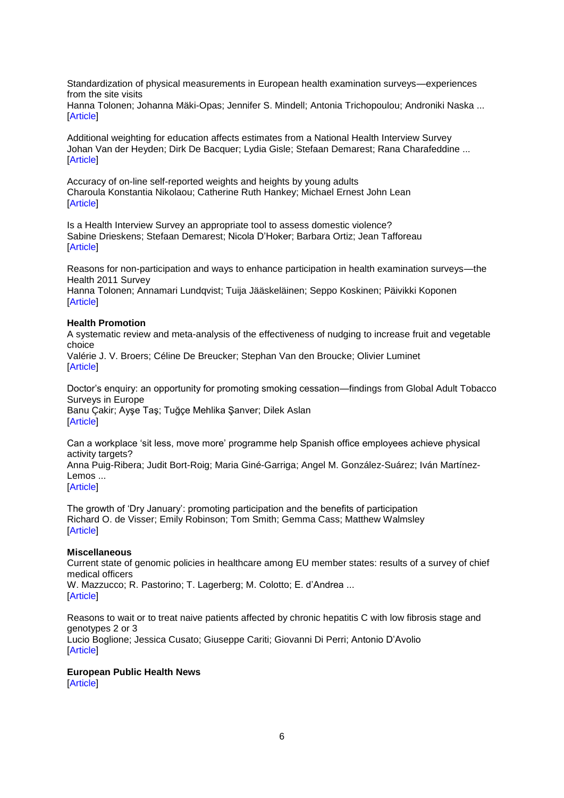[Standardization of physical measurements in European health examination surveys—experiences](http://euphapedia.eupha.org/newsletter/https:/academic.oup.com/eurpub/article/27/5/886/2939512/Standardization-of-physical-measurements-in)  [from the site visits](http://euphapedia.eupha.org/newsletter/https:/academic.oup.com/eurpub/article/27/5/886/2939512/Standardization-of-physical-measurements-in)

[Hanna Tolonen;](http://euphapedia.eupha.org/newsletter/https:/academic.oup.com/eurpub/search-results?f_Authors=Hanna+Tolonen) [Johanna Mäki-Opas;](http://euphapedia.eupha.org/newsletter/https:/academic.oup.com/eurpub/search-results?f_Authors=Johanna+M%c3%a4ki-Opas) [Jennifer S. Mindell;](http://euphapedia.eupha.org/newsletter/https:/academic.oup.com/eurpub/search-results?f_Authors=Jennifer+S.+Mindell) [Antonia Trichopoulou;](http://euphapedia.eupha.org/newsletter/https:/academic.oup.com/eurpub/search-results?f_Authors=Antonia+Trichopoulou) [Androniki Naska](http://euphapedia.eupha.org/newsletter/https:/academic.oup.com/eurpub/search-results?f_Authors=Androniki+Naska) ... **[\[Article\]](https://academic.oup.com/eurpub/article/27/5/886/2939512/Standardization-of-physical-measurements-in?searchresult=1)** 

[Additional weighting for education affects estimates from a National Health Interview Survey](http://euphapedia.eupha.org/newsletter/https:/academic.oup.com/eurpub/article/27/5/892/2996311/Additional-weighting-for-education-affects) [Johan Van der Heyden;](http://euphapedia.eupha.org/newsletter/https:/academic.oup.com/eurpub/search-results?f_Authors=Johan+Van+der+Heyden) [Dirk De Bacquer;](http://euphapedia.eupha.org/newsletter/https:/academic.oup.com/eurpub/search-results?f_Authors=Dirk+De+Bacquer) [Lydia Gisle;](http://euphapedia.eupha.org/newsletter/https:/academic.oup.com/eurpub/search-results?f_Authors=Lydia+Gisle) [Stefaan Demarest;](http://euphapedia.eupha.org/newsletter/https:/academic.oup.com/eurpub/search-results?f_Authors=Stefaan+Demarest) [Rana Charafeddine](http://euphapedia.eupha.org/newsletter/https:/academic.oup.com/eurpub/search-results?f_Authors=Rana+Charafeddine) ... [\[Article\]](https://academic.oup.com/eurpub/article/27/5/892/2996311/Additional-weighting-for-education-affects?searchresult=1)

[Accuracy of on-line self-reported weights and heights by young adults](http://euphapedia.eupha.org/newsletter/https:/academic.oup.com/eurpub/article/27/5/898/3868543/Accuracy-of-on-line-self-reported-weights-and) [Charoula Konstantia Nikolaou;](http://euphapedia.eupha.org/newsletter/https:/academic.oup.com/eurpub/search-results?f_Authors=Charoula+Konstantia+Nikolaou) [Catherine Ruth Hankey;](http://euphapedia.eupha.org/newsletter/https:/academic.oup.com/eurpub/search-results?f_Authors=Catherine+Ruth+Hankey) [Michael Ernest John Lean](http://euphapedia.eupha.org/newsletter/https:/academic.oup.com/eurpub/search-results?f_Authors=Michael+Ernest+John+Lean) [\[Article\]](https://academic.oup.com/eurpub/article/27/5/898/3868543/Accuracy-of-on-line-self-reported-weights-and?searchresult=1)

[Is a Health Interview Survey an appropriate tool to assess domestic violence?](http://euphapedia.eupha.org/newsletter/https:/academic.oup.com/eurpub/article/27/5/903/3867787/Is-a-Health-Interview-Survey-an-appropriate-tool) [Sabine Drieskens;](http://euphapedia.eupha.org/newsletter/https:/academic.oup.com/eurpub/search-results?f_Authors=Sabine+Drieskens) [Stefaan Demarest;](http://euphapedia.eupha.org/newsletter/https:/academic.oup.com/eurpub/search-results?f_Authors=Stefaan+Demarest) [Nicola D'Hoker;](http://euphapedia.eupha.org/newsletter/https:/academic.oup.com/eurpub/search-results?f_Authors=Nicola+D%e2%80%99Hoker) [Barbara Ortiz;](http://euphapedia.eupha.org/newsletter/https:/academic.oup.com/eurpub/search-results?f_Authors=Barbara+Ortiz) [Jean Tafforeau](http://euphapedia.eupha.org/newsletter/https:/academic.oup.com/eurpub/search-results?f_Authors=Jean+Tafforeau) **[\[Article\]](https://academic.oup.com/eurpub/article/27/5/903/3867787/Is-a-Health-Interview-Survey-an-appropriate-tool?searchresult=1)** 

[Reasons for non-participation and ways to enhance participation in health examination surveys—the](http://euphapedia.eupha.org/newsletter/https:/academic.oup.com/eurpub/article/27/5/909/3926150/Reasons-for-non-participation-and-ways-to-enhance)  [Health 2011 Survey](http://euphapedia.eupha.org/newsletter/https:/academic.oup.com/eurpub/article/27/5/909/3926150/Reasons-for-non-participation-and-ways-to-enhance)

[Hanna Tolonen;](http://euphapedia.eupha.org/newsletter/https:/academic.oup.com/eurpub/search-results?f_Authors=Hanna+Tolonen) [Annamari Lundqvist;](http://euphapedia.eupha.org/newsletter/https:/academic.oup.com/eurpub/search-results?f_Authors=Annamari+Lundqvist) [Tuija Jääskeläinen;](http://euphapedia.eupha.org/newsletter/https:/academic.oup.com/eurpub/search-results?f_Authors=Tuija+J%c3%a4%c3%a4skel%c3%a4inen) [Seppo Koskinen;](http://euphapedia.eupha.org/newsletter/https:/academic.oup.com/eurpub/search-results?f_Authors=Seppo+Koskinen) [Päivikki Koponen](http://euphapedia.eupha.org/newsletter/https:/academic.oup.com/eurpub/search-results?f_Authors=P%c3%a4ivikki+Koponen) [\[Article\]](https://academic.oup.com/eurpub/article/27/5/909/3926150/Reasons-for-non-participation-and-ways-to-enhance?searchresult=1)

#### **Health Promotion**

[A systematic review and meta-analysis of the effectiveness of nudging to increase fruit and vegetable](http://euphapedia.eupha.org/newsletter/https:/academic.oup.com/eurpub/article/27/5/912/3888821/A-systematic-review-and-meta-analysis-of-the)  [choice](http://euphapedia.eupha.org/newsletter/https:/academic.oup.com/eurpub/article/27/5/912/3888821/A-systematic-review-and-meta-analysis-of-the)

[Valérie J. V. Broers;](http://euphapedia.eupha.org/newsletter/https:/academic.oup.com/eurpub/search-results?f_Authors=Val%c3%a9rie+J.+V.+Broers) [Céline De Breucker;](http://euphapedia.eupha.org/newsletter/https:/academic.oup.com/eurpub/search-results?f_Authors=C%c3%a9line+De+Breucker) [Stephan Van den Broucke;](http://euphapedia.eupha.org/newsletter/https:/academic.oup.com/eurpub/search-results?f_Authors=Stephan+Van+den+Broucke) [Olivier Luminet](http://euphapedia.eupha.org/newsletter/https:/academic.oup.com/eurpub/search-results?f_Authors=Olivier+Luminet) [\[Article\]](https://academic.oup.com/eurpub/article/27/5/912/3888821/A-systematic-review-and-meta-analysis-of-the?searchresult=1)

[Doctor's enquiry: an opportunity for promoting smoking cessation—findings from Global Adult Tobacco](http://euphapedia.eupha.org/newsletter/https:/academic.oup.com/eurpub/article/27/5/921/3924512/Doctor-s-enquiry-an-opportunity-for-promoting)  [Surveys in Europe](http://euphapedia.eupha.org/newsletter/https:/academic.oup.com/eurpub/article/27/5/921/3924512/Doctor-s-enquiry-an-opportunity-for-promoting) [Banu Çakir;](http://euphapedia.eupha.org/newsletter/https:/academic.oup.com/eurpub/search-results?f_Authors=Banu+%c3%87akir) [Ayşe Taş;](http://euphapedia.eupha.org/newsletter/https:/academic.oup.com/eurpub/search-results?f_Authors=Ay%c5%9fe+Ta%c5%9f) [Tuğçe Mehlika Şanver;](http://euphapedia.eupha.org/newsletter/https:/academic.oup.com/eurpub/search-results?f_Authors=Tu%c4%9f%c3%a7e+Mehlika+%c5%9eanver) [Dilek Aslan](http://euphapedia.eupha.org/newsletter/https:/academic.oup.com/eurpub/search-results?f_Authors=Dilek+Aslan) [\[Article\]](https://academic.oup.com/eurpub/article/27/5/921/3924512/Doctor-s-enquiry-an-opportunity-for-promoting?searchresult=1)

Can a workplace ‗sit less, move [more' programme help Spanish office employees achieve physical](http://euphapedia.eupha.org/newsletter/https:/academic.oup.com/eurpub/article/27/5/926/3978739/Can-a-workplace-sit-less-move-more-programme-help)  [activity targets?](http://euphapedia.eupha.org/newsletter/https:/academic.oup.com/eurpub/article/27/5/926/3978739/Can-a-workplace-sit-less-move-more-programme-help)

[Anna Puig-Ribera;](http://euphapedia.eupha.org/newsletter/https:/academic.oup.com/eurpub/search-results?f_Authors=Anna+Puig-Ribera) [Judit Bort-Roig;](http://euphapedia.eupha.org/newsletter/https:/academic.oup.com/eurpub/search-results?f_Authors=Judit+Bort-Roig) [Maria Giné-Garriga;](http://euphapedia.eupha.org/newsletter/https:/academic.oup.com/eurpub/search-results?f_Authors=Maria+Gin%c3%a9-Garriga) [Angel M. González-Suárez;](http://euphapedia.eupha.org/newsletter/https:/academic.oup.com/eurpub/search-results?f_Authors=Angel+M.+Gonz%c3%a1lez-Su%c3%a1rez) [Iván Martínez-](http://euphapedia.eupha.org/newsletter/https:/academic.oup.com/eurpub/search-results?f_Authors=Iv%c3%a1n+Mart%c3%adnez-Lemos)[Lemos](http://euphapedia.eupha.org/newsletter/https:/academic.oup.com/eurpub/search-results?f_Authors=Iv%c3%a1n+Mart%c3%adnez-Lemos) ...

[\[Article\]](https://academic.oup.com/eurpub/article/27/5/926/3978739/Can-a-workplace-sit-less-move-more-programme-help?searchresult=1)

[The growth of ‗Dry January': promoting participation and the benefits of participation](http://euphapedia.eupha.org/newsletter/https:/academic.oup.com/eurpub/article/27/5/929/4209886/The-growth-of-Dry-January-promoting-participation) [Richard O. de Visser;](http://euphapedia.eupha.org/newsletter/https:/academic.oup.com/eurpub/search-results?f_Authors=Richard+O.+de+Visser) [Emily Robinson;](http://euphapedia.eupha.org/newsletter/https:/academic.oup.com/eurpub/search-results?f_Authors=Emily+Robinson) [Tom Smith;](http://euphapedia.eupha.org/newsletter/https:/academic.oup.com/eurpub/search-results?f_Authors=Tom+Smith) [Gemma Cass;](http://euphapedia.eupha.org/newsletter/https:/academic.oup.com/eurpub/search-results?f_Authors=Gemma+Cass) [Matthew Walmsley](http://euphapedia.eupha.org/newsletter/https:/academic.oup.com/eurpub/search-results?f_Authors=Matthew+Walmsley) [\[Article\]](https://academic.oup.com/eurpub/article/27/5/929/4209886/The-growth-of-Dry-January-promoting-participation?searchresult=1)

#### **Miscellaneous**

[Current state of genomic policies in healthcare among EU member states: results of a survey of chief](http://euphapedia.eupha.org/newsletter/https:/academic.oup.com/eurpub/article/27/5/931/2616592/Current-state-of-genomic-policies-in-healthcare)  [medical officers](http://euphapedia.eupha.org/newsletter/https:/academic.oup.com/eurpub/article/27/5/931/2616592/Current-state-of-genomic-policies-in-healthcare) [W. Mazzucco;](http://euphapedia.eupha.org/newsletter/https:/academic.oup.com/eurpub/search-results?f_Authors=W.+Mazzucco) [R. Pastorino;](http://euphapedia.eupha.org/newsletter/https:/academic.oup.com/eurpub/search-results?f_Authors=R.+Pastorino) [T. Lagerberg;](http://euphapedia.eupha.org/newsletter/https:/academic.oup.com/eurpub/search-results?f_Authors=T.+Lagerberg) [M. Colotto;](http://euphapedia.eupha.org/newsletter/https:/academic.oup.com/eurpub/search-results?f_Authors=M.+Colotto) [E. d'Andrea](http://euphapedia.eupha.org/newsletter/https:/academic.oup.com/eurpub/search-results?f_Authors=E.+d%e2%80%99Andrea) ...

[\[Article\]](https://academic.oup.com/eurpub/article/27/5/931/2616592/Current-state-of-genomic-policies-in-healthcare?searchresult=1)

[Reasons to wait or to treat naive patients affected by chronic hepatitis C with low fibrosis stage and](http://euphapedia.eupha.org/newsletter/https:/academic.oup.com/eurpub/article/27/5/938/3066159/Reasons-to-wait-or-to-treat-naive-patients)  [genotypes 2 or 3](http://euphapedia.eupha.org/newsletter/https:/academic.oup.com/eurpub/article/27/5/938/3066159/Reasons-to-wait-or-to-treat-naive-patients) [Lucio Boglione;](http://euphapedia.eupha.org/newsletter/https:/academic.oup.com/eurpub/search-results?f_Authors=Lucio+Boglione) [Jessica Cusato;](http://euphapedia.eupha.org/newsletter/https:/academic.oup.com/eurpub/search-results?f_Authors=Jessica+Cusato) [Giuseppe Cariti;](http://euphapedia.eupha.org/newsletter/https:/academic.oup.com/eurpub/search-results?f_Authors=Giuseppe+Cariti) [Giovanni Di Perri;](http://euphapedia.eupha.org/newsletter/https:/academic.oup.com/eurpub/search-results?f_Authors=Giovanni+Di+Perri) [Antonio D'Avolio](http://euphapedia.eupha.org/newsletter/https:/academic.oup.com/eurpub/search-results?f_Authors=Antonio+D%e2%80%99Avolio) [\[Article\]](https://academic.oup.com/eurpub/article/27/5/938/3066159/Reasons-to-wait-or-to-treat-naive-patients?searchresult=1)

## **European Public Health News**

[\[Article\]](https://doi.org/10.1093/eurpub/ckx132)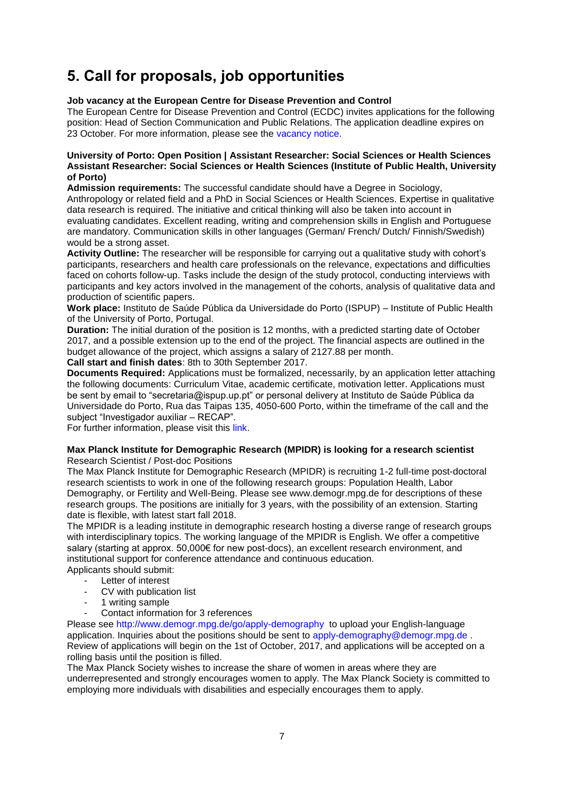# <span id="page-6-0"></span>**5. Call for proposals, job opportunities**

## **Job vacancy at the European Centre for Disease Prevention and Control**

The European Centre for Disease Prevention and Control (ECDC) invites applications for the following position: Head of Section Communication and Public Relations. The application deadline expires on 23 October. For more information, please see the [vacancy notice.](https://ecdc.europa.eu/sites/portal/files/documents/vacancy-notice-head-of-section-communication-2017%20.pdf)

### **University of Porto: Open Position | Assistant Researcher: Social Sciences or Health Sciences Assistant Researcher: Social Sciences or Health Sciences (Institute of Public Health, University of Porto)**

**Admission requirements:** The successful candidate should have a Degree in Sociology,

Anthropology or related field and a PhD in Social Sciences or Health Sciences. Expertise in qualitative data research is required. The initiative and critical thinking will also be taken into account in evaluating candidates. Excellent reading, writing and comprehension skills in English and Portuguese are mandatory. Communication skills in other languages (German/ French/ Dutch/ Finnish/Swedish) would be a strong asset.

**Activity Outline:** The researcher will be responsible for carrying out a qualitative study with cohort's participants, researchers and health care professionals on the relevance, expectations and difficulties faced on cohorts follow-up. Tasks include the design of the study protocol, conducting interviews with participants and key actors involved in the management of the cohorts, analysis of qualitative data and production of scientific papers.

**Work place:** Instituto de Saúde Pública da Universidade do Porto (ISPUP) – Institute of Public Health of the University of Porto, Portugal.

**Duration:** The initial duration of the position is 12 months, with a predicted starting date of October 2017, and a possible extension up to the end of the project. The financial aspects are outlined in the budget allowance of the project, which assigns a salary of 2127.88 per month.

**Call start and finish dates**: 8th to 30th September 2017.

**Documents Required:** Applications must be formalized, necessarily, by an application letter attaching the following documents: Curriculum Vitae, academic certificate, motivation letter. Applications must be sent by email to "secretaria@ispup.up.pt" or personal delivery at Instituto de Saúde Pública da Universidade do Porto, Rua das Taipas 135, 4050-600 Porto, within the timeframe of the call and the subject "Investigador auxiliar – RECAP".

For further information, please visit this [link.](http://ispup.up.pt/training-positions/other-positions/open-positions/18/)

### **Max Planck Institute for Demographic Research (MPIDR) is looking for a research scientist** Research Scientist / Post-doc Positions

The Max Planck Institute for Demographic Research (MPIDR) is recruiting 1-2 full-time post-doctoral research scientists to work in one of the following research groups: Population Health, Labor Demography, or Fertility and Well-Being. Please see www.demogr.mpg.de for descriptions of these research groups. The positions are initially for 3 years, with the possibility of an extension. Starting date is flexible, with latest start fall 2018.

The MPIDR is a leading institute in demographic research hosting a diverse range of research groups with interdisciplinary topics. The working language of the MPIDR is English. We offer a competitive salary (starting at approx. 50,000€ for new post-docs), an excellent research environment, and institutional support for conference attendance and continuous education. Applicants should submit:

- Letter of interest
- CV with publication list
- 1 writing sample
- Contact information for 3 references

Please see<http://www.demogr.mpg.de/go/apply-demography>to upload your English-language application. Inquiries about the positions should be sent to [apply-demography@demogr.mpg.de](mailto:apply-demography@demogr.mpg.de). Review of applications will begin on the 1st of October, 2017, and applications will be accepted on a rolling basis until the position is filled.

The Max Planck Society wishes to increase the share of women in areas where they are underrepresented and strongly encourages women to apply. The Max Planck Society is committed to employing more individuals with disabilities and especially encourages them to apply.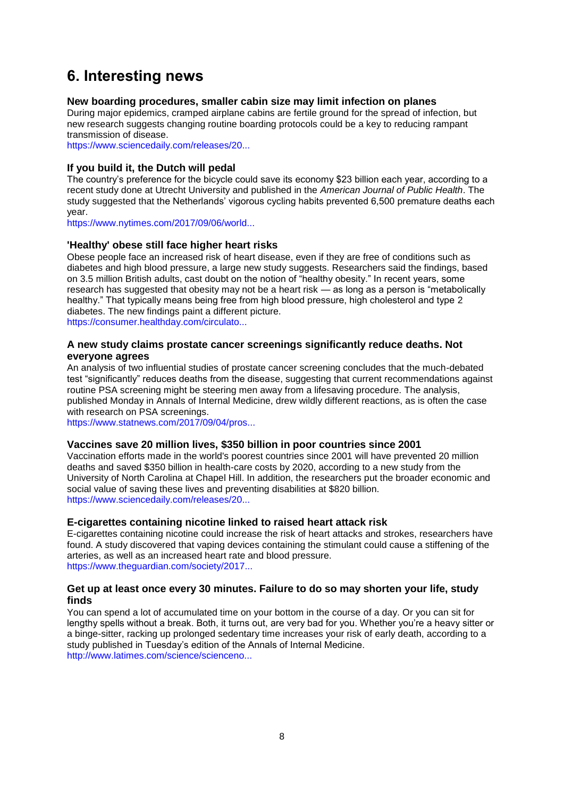# <span id="page-7-0"></span>**6. Interesting news**

## **New boarding procedures, smaller cabin size may limit infection on planes**

During major epidemics, cramped airplane cabins are fertile ground for the spread of infection, but new research suggests changing routine boarding protocols could be a key to reducing rampant transmission of disease.

[https://www.sciencedaily.com/releases/20...](https://www.sciencedaily.com/releases/2017/08/170831151300.htm?utm_source=feedburner&utm_medium=email&utm_campaign=Feed%3A+sciencedaily%2Fscience_society%2Fpublic_health+%28Public+Health+News+--+Scien)

## **If you build it, the Dutch will pedal**

The country's preference for the bicycle could save its economy \$23 billion each year, according to a recent study done at Utrecht University and published in the *American Journal of Public Health*. The study suggested that the Netherlands' vigorous cycling habits prevented 6,500 premature deaths each year.

[https://www.nytimes.com/2017/09/06/world...](https://www.nytimes.com/2017/09/06/world/europe/bicycling-utrecht-dutch-love-bikes-worlds-largest-bike-parking-garages.html?rref=collection%2Fsectioncollection%2Fworld&_r=0)

## **'Healthy' obese still face higher heart risks**

Obese people face an increased risk of heart disease, even if they are free of conditions such as diabetes and high blood pressure, a large new study suggests. Researchers said the findings, based on 3.5 million British adults, cast doubt on the notion of "healthy obesity." In recent years, some research has suggested that obesity may not be a heart risk — as long as a person is "metabolically healthy." That typically means being free from high blood pressure, high cholesterol and type 2 diabetes. The new findings paint a different picture. [https://consumer.healthday.com/circulato...](https://consumer.healthday.com/circulatory-system-information-7/coronary-and-artery-news-356/healthy-obese-still-face-higher-heart-risks-726427.html)

## **A new study claims prostate cancer screenings significantly reduce deaths. Not everyone agrees**

An analysis of two influential studies of prostate cancer screening concludes that the much-debated test "significantly" reduces deaths from the disease, suggesting that current recommendations against routine PSA screening might be steering men away from a lifesaving procedure. The analysis, published Monday in Annals of Internal Medicine, drew wildly different reactions, as is often the case with research on PSA screenings.

[https://www.statnews.com/2017/09/04/pros...](https://www.statnews.com/2017/09/04/prostate-cancer-analysis/)

## **Vaccines save 20 million lives, \$350 billion in poor countries since 2001**

Vaccination efforts made in the world's poorest countries since 2001 will have prevented 20 million deaths and saved \$350 billion in health-care costs by 2020, according to a new study from the University of North Carolina at Chapel Hill. In addition, the researchers put the broader economic and social value of saving these lives and preventing disabilities at \$820 billion. [https://www.sciencedaily.com/releases/20...](https://www.sciencedaily.com/releases/2017/09/170901101035.htm?utm_source=feedburner&utm_medium=email&utm_campaign=Feed%3A+sciencedaily%2Fscience_society%2Fpublic_health+%28Public+Health+News+--+Scien)

## **E-cigarettes containing nicotine linked to raised heart attack risk**

E-cigarettes containing nicotine could increase the risk of heart attacks and strokes, researchers have found. A study discovered that vaping devices containing the stimulant could cause a stiffening of the arteries, as well as an increased heart rate and blood pressure. [https://www.theguardian.com/society/2017...](https://www.theguardian.com/society/2017/sep/11/e-cigarettes-containing-nicotine-linked-to-raised-heart-attack-risk)

### **Get up at least once every 30 minutes. Failure to do so may shorten your life, study finds**

You can spend a lot of accumulated time on your bottom in the course of a day. Or you can sit for lengthy spells without a break. Both, it turns out, are very bad for you. Whether you're a heavy sitter or a binge-sitter, racking up prolonged sedentary time increases your risk of early death, according to a study published in Tuesday's edition of the Annals of Internal Medicine. [http://www.latimes.com/science/scienceno...](http://www.latimes.com/science/sciencenow/la-sci-sn-sitting-death-risk-20170911-story.html)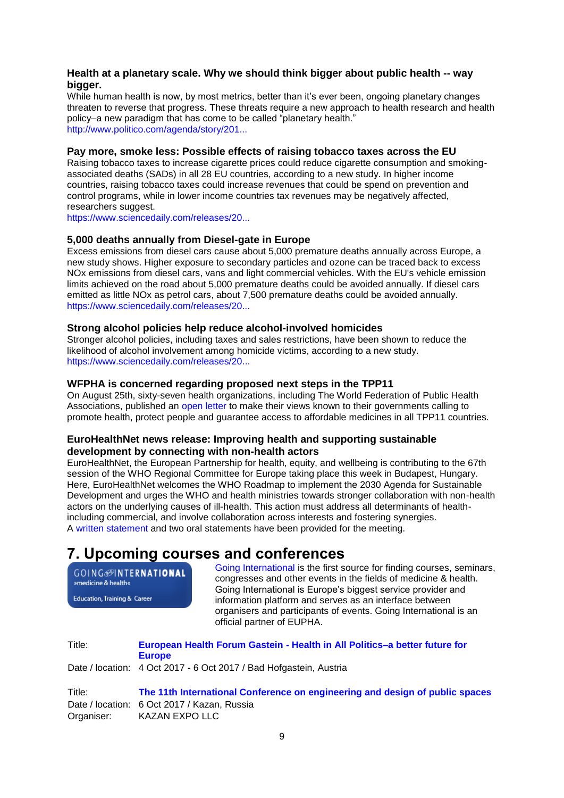## **Health at a planetary scale. Why we should think bigger about public health -- way bigger.**

While human health is now, by most metrics, better than it's ever been, ongoing planetary changes threaten to reverse that progress. These threats require a new approach to health research and health policy–a new paradigm that has come to be called "planetary health." [http://www.politico.com/agenda/story/201...](http://www.politico.com/agenda/story/2017/09/13/planetary-health-challenges-000514)

### **Pay more, smoke less: Possible effects of raising tobacco taxes across the EU**

Raising tobacco taxes to increase cigarette prices could reduce cigarette consumption and smokingassociated deaths (SADs) in all 28 EU countries, according to a new study. In higher income countries, raising tobacco taxes could increase revenues that could be spend on prevention and control programs, while in lower income countries tax revenues may be negatively affected, researchers suggest.

[https://www.sciencedaily.com/releases/20...](https://www.sciencedaily.com/releases/2017/09/170920232226.htm?utm_source=feedburner&utm_medium=email&utm_campaign=Feed%3A+sciencedaily%2Fscience_society%2Fpublic_health+%28Public+Health+News+--+Scien)

## **5,000 deaths annually from Diesel-gate in Europe**

Excess emissions from diesel cars cause about 5,000 premature deaths annually across Europe, a new study shows. Higher exposure to secondary particles and ozone can be traced back to excess NOx emissions from diesel cars, vans and light commercial vehicles. With the EU's vehicle emission limits achieved on the road about 5,000 premature deaths could be avoided annually. If diesel cars emitted as little NOx as petrol cars, about 7,500 premature deaths could be avoided annually. [https://www.sciencedaily.com/releases/20...](https://www.sciencedaily.com/releases/2017/09/170918093337.htm?utm_source=feedburner&utm_medium=email&utm_campaign=Feed%3A+sciencedaily%2Fscience_society%2Fpublic_health+%28Public+Health+News+--+Scien)

### **Strong alcohol policies help reduce alcohol-involved homicides**

Stronger alcohol policies, including taxes and sales restrictions, have been shown to reduce the likelihood of alcohol involvement among homicide victims, according to a new study. [https://www.sciencedaily.com/releases/20...](https://www.sciencedaily.com/releases/2017/09/170921161255.htm?utm_source=feedburner&utm_medium=email&utm_campaign=Feed%3A+sciencedaily%2Fscience_society%2Fpublic_health+%28Public+Health+News+--+Scien)

## **WFPHA is concerned regarding proposed next steps in the TPP11**

On August 25th, sixty-seven health organizations, including The World Federation of Public Health Associations, published an [open letter](http://bilaterals.org/IMG/pdf/healthletter_english.pdf) to make their views known to their governments calling to promote health, protect people and guarantee access to affordable medicines in all TPP11 countries.

## **EuroHealthNet news release: Improving health and supporting sustainable development by connecting with non-health actors**

EuroHealthNet, the European Partnership for health, equity, and wellbeing is contributing to the 67th session of the WHO Regional Committee for Europe taking place this week in Budapest, Hungary. Here, EuroHealthNet welcomes the WHO Roadmap to implement the 2030 Agenda for Sustainable Development and urges the WHO and health ministries towards stronger collaboration with non-health actors on the underlying causes of ill-health. This action must address all determinants of healthincluding commercial, and involve collaboration across interests and fostering synergies. A [written statement](http://eurohealthnet.eu/sites/eurohealthnet.eu/modules/civicrm/extern/url.php?u=1531andqid=277019) and two oral statements have been provided for the meeting.

## <span id="page-8-0"></span>**7. Upcoming courses and conferences**

GOING **ONTERNATIONAL** »medicine & health«

Education, Training & Career

[Going International](http://www.goinginternational.eu/) is the first source for finding courses, seminars, congresses and other events in the fields of medicine & health. Going International is Europe's biggest service provider and information platform and serves as an interface between organisers and participants of events. Going International is an official partner of EUPHA.

Title: **European Health Forum Gastein - [Health in All Politics–a better future for](http://www.ehfg.org/fileadmin/downloads/03-conference/2017/ehfg2017_1pa.pdf)  [Europe](http://www.ehfg.org/fileadmin/downloads/03-conference/2017/ehfg2017_1pa.pdf)** Date / location: 4 Oct 2017 - 6 Oct 2017 / Bad Hofgastein, Austria

Title: **[The 11th International Conference on engineering and design of public spaces](http://www.meskazan.ru/en/)**  Date / location: 6 Oct 2017 / Kazan, Russia Organiser: KAZAN EXPO LLC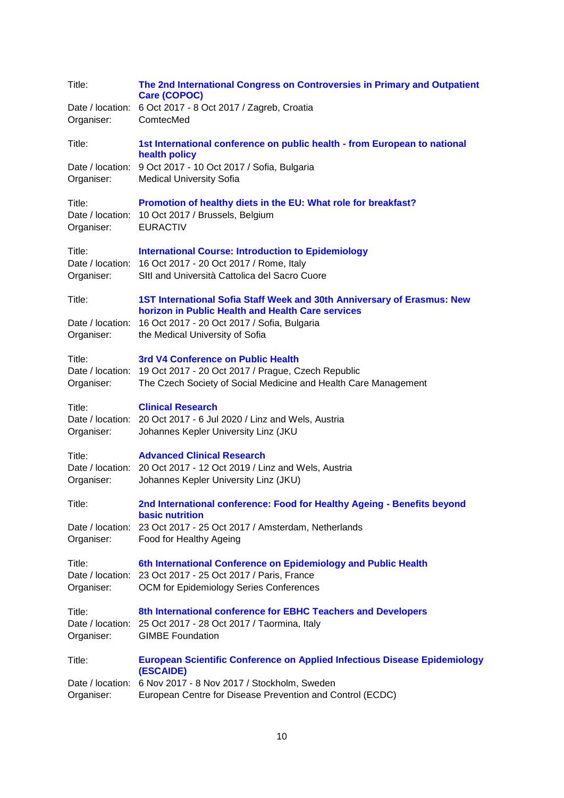| Title:                                   | The 2nd International Congress on Controversies in Primary and Outpatient<br><b>Care (COPOC)</b>                                                                             |
|------------------------------------------|------------------------------------------------------------------------------------------------------------------------------------------------------------------------------|
| Organiser:                               | Date / location: 6 Oct 2017 - 8 Oct 2017 / Zagreb, Croatia<br>ComtecMed                                                                                                      |
| Title:                                   | 1st International conference on public health - from European to national<br>health policy                                                                                   |
| Date / location:<br>Organiser:           | 9 Oct 2017 - 10 Oct 2017 / Sofia, Bulgaria<br><b>Medical University Sofia</b>                                                                                                |
| Title:<br>Organiser:                     | Promotion of healthy diets in the EU: What role for breakfast?<br>Date / location: 10 Oct 2017 / Brussels, Belgium<br><b>EURACTIV</b>                                        |
| Title:<br>Organiser:                     | <b>International Course: Introduction to Epidemiology</b><br>Date / location: 16 Oct 2017 - 20 Oct 2017 / Rome, Italy<br>SItl and Università Cattolica del Sacro Cuore       |
| Title:                                   | 1ST International Sofia Staff Week and 30th Anniversary of Erasmus: New<br>horizon in Public Health and Health Care services                                                 |
| Organiser:                               | Date / location: 16 Oct 2017 - 20 Oct 2017 / Sofia, Bulgaria<br>the Medical University of Sofia                                                                              |
| Title:<br>Organiser:                     | 3rd V4 Conference on Public Health<br>Date / location: 19 Oct 2017 - 20 Oct 2017 / Prague, Czech Republic<br>The Czech Society of Social Medicine and Health Care Management |
| Title:<br>Organiser:                     | <b>Clinical Research</b><br>Date / location: 20 Oct 2017 - 6 Jul 2020 / Linz and Wels, Austria<br>Johannes Kepler University Linz (JKU                                       |
| Title:<br>Organiser:                     | <b>Advanced Clinical Research</b><br>Date / location: 20 Oct 2017 - 12 Oct 2019 / Linz and Wels, Austria<br>Johannes Kepler University Linz (JKU)                            |
| Title:                                   | 2nd International conference: Food for Healthy Ageing - Benefits beyond<br><b>basic nutrition</b>                                                                            |
| Organiser:                               | Date / location: 23 Oct 2017 - 25 Oct 2017 / Amsterdam, Netherlands<br>Food for Healthy Ageing                                                                               |
| Title:<br>Date / location:<br>Organiser: | 6th International Conference on Epidemiology and Public Health<br>23 Oct 2017 - 25 Oct 2017 / Paris, France<br>OCM for Epidemiology Series Conferences                       |
| Title:<br>Organiser:                     | 8th International conference for EBHC Teachers and Developers<br>Date / location: 25 Oct 2017 - 28 Oct 2017 / Taormina, Italy<br><b>GIMBE Foundation</b>                     |
| Title:                                   | <b>European Scientific Conference on Applied Infectious Disease Epidemiology</b><br>(ESCAIDE)                                                                                |
| Date / location:<br>Organiser:           | 6 Nov 2017 - 8 Nov 2017 / Stockholm, Sweden<br>European Centre for Disease Prevention and Control (ECDC)                                                                     |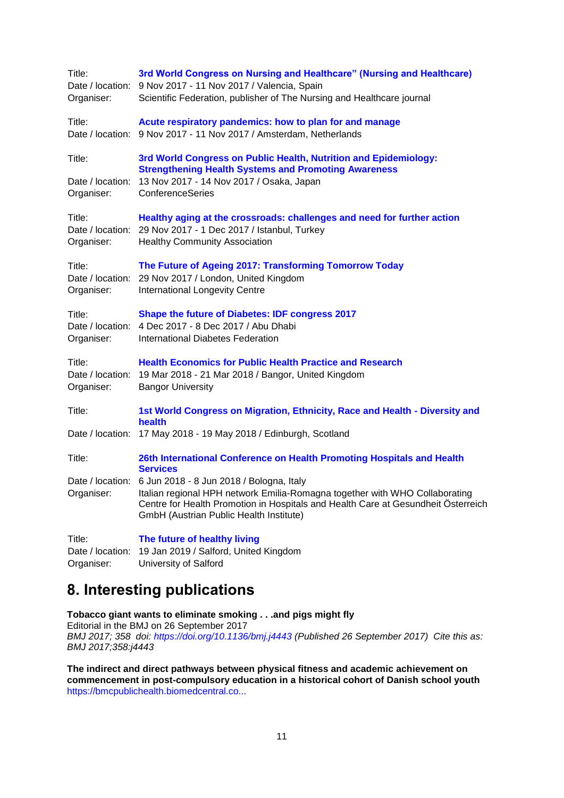| Title:                         | 3rd World Congress on Nursing and Healthcare" (Nursing and Healthcare)<br>Date / location: 9 Nov 2017 - 11 Nov 2017 / Valencia, Spain                                                                                  |
|--------------------------------|------------------------------------------------------------------------------------------------------------------------------------------------------------------------------------------------------------------------|
| Organiser:                     | Scientific Federation, publisher of The Nursing and Healthcare journal                                                                                                                                                 |
| Title:                         | Acute respiratory pandemics: how to plan for and manage<br>Date / location: 9 Nov 2017 - 11 Nov 2017 / Amsterdam, Netherlands                                                                                          |
| Title:                         | 3rd World Congress on Public Health, Nutrition and Epidemiology:<br><b>Strengthening Health Systems and Promoting Awareness</b>                                                                                        |
| Date / location:<br>Organiser: | 13 Nov 2017 - 14 Nov 2017 / Osaka, Japan<br>ConferenceSeries                                                                                                                                                           |
| Title:<br>Organiser:           | Healthy aging at the crossroads: challenges and need for further action<br>Date / location: 29 Nov 2017 - 1 Dec 2017 / Istanbul, Turkey<br><b>Healthy Community Association</b>                                        |
| Title:<br>Organiser:           | The Future of Ageing 2017: Transforming Tomorrow Today<br>Date / location: 29 Nov 2017 / London, United Kingdom<br><b>International Longevity Centre</b>                                                               |
| Title:<br>Organiser:           | Shape the future of Diabetes: IDF congress 2017<br>Date / location: 4 Dec 2017 - 8 Dec 2017 / Abu Dhabi<br>International Diabetes Federation                                                                           |
| Title:<br>Organiser:           | <b>Health Economics for Public Health Practice and Research</b><br>Date / location: 19 Mar 2018 - 21 Mar 2018 / Bangor, United Kingdom<br><b>Bangor University</b>                                                     |
| Title:                         | 1st World Congress on Migration, Ethnicity, Race and Health - Diversity and<br>health                                                                                                                                  |
|                                | Date / location: 17 May 2018 - 19 May 2018 / Edinburgh, Scotland                                                                                                                                                       |
| Title:                         | 26th International Conference on Health Promoting Hospitals and Health<br><b>Services</b>                                                                                                                              |
|                                | Date / location: 6 Jun 2018 - 8 Jun 2018 / Bologna, Italy                                                                                                                                                              |
|                                | Organiser: Italian regional HPH network Emilia-Romagna together with WHO Collaborating<br>Centre for Health Promotion in Hospitals and Health Care at Gesundheit Österreich<br>GmbH (Austrian Public Health Institute) |
| Title:                         | The future of healthy living                                                                                                                                                                                           |
| Date / location:<br>Organiser: | 19 Jan 2019 / Salford, United Kingdom<br>University of Salford                                                                                                                                                         |

# <span id="page-10-0"></span>**8. Interesting publications**

**Tobacco giant wants to eliminate smoking . . .and pigs might fly** Editorial in the BMJ on 26 September 2017 *BMJ 2017; 358 doi:<https://doi.org/10.1136/bmj.j4443> (Published 26 September 2017) Cite this as:* 

*BMJ 2017;358:j4443*  **The indirect and direct pathways between physical fitness and academic achievement on** 

**commencement in post-compulsory education in a historical cohort of Danish school youth** [https://bmcpublichealth.biomedcentral.co...](https://bmcpublichealth.biomedcentral.com/articles/10.1186/s12889-017-4712-y)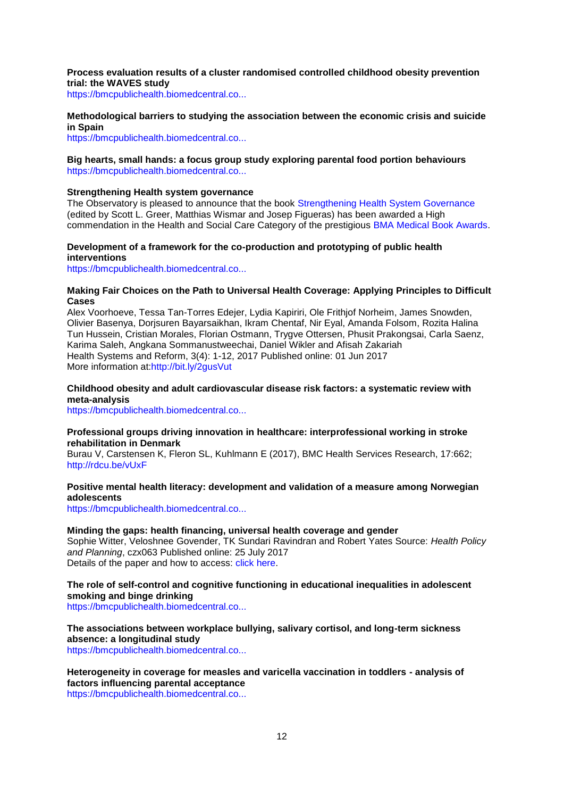#### **Process evaluation results of a cluster randomised controlled childhood obesity prevention trial: the WAVES study**

[https://bmcpublichealth.biomedcentral.co...](https://bmcpublichealth.biomedcentral.com/articles/10.1186/s12889-017-4690-0)

#### **Methodological barriers to studying the association between the economic crisis and suicide in Spain**

[https://bmcpublichealth.biomedcentral.co...](https://bmcpublichealth.biomedcentral.com/articles/10.1186/s12889-017-4702-0)

#### **Big hearts, small hands: a focus group study exploring parental food portion behaviours** [https://bmcpublichealth.biomedcentral.co...](https://bmcpublichealth.biomedcentral.com/articles/10.1186/s12889-017-4711-z)

#### **Strengthening Health system governance**

The Observatory is pleased to announce that the book [Strengthening Health System Governance](http://www.euro.who.int/en/about-us/partners/observatory/publications/studies/strengthening-health-system-governance-better-policies,-stronger-performance-2015?utm_source=WHO%2FEurope+mailing+list&utm_campaign=03c13d4f85-Strengthening_Health_System_Governance_B) (edited by Scott L. Greer, Matthias Wismar and Josep Figueras) has been awarded a High commendation in the Health and Social Care Category of the prestigious [BMA Medical Book Awards.](https://www.bma.org.uk/library/medical-book-awards)

### **Development of a framework for the co-production and prototyping of public health interventions**

[https://bmcpublichealth.biomedcentral.co...](https://bmcpublichealth.biomedcentral.com/articles/10.1186/s12889-017-4695-8)

#### **Making Fair Choices on the Path to Universal Health Coverage: Applying Principles to Difficult Cases**

Alex Voorhoeve, Tessa Tan-Torres Edejer, Lydia Kapiriri, Ole Frithjof Norheim, James Snowden, Olivier Basenya, Dorjsuren Bayarsaikhan, Ikram Chentaf, Nir Eyal, Amanda Folsom, Rozita Halina Tun Hussein, Cristian Morales, Florian Ostmann, Trygve Ottersen, Phusit Prakongsai, Carla Saenz, Karima Saleh, Angkana Sommanustweechai, Daniel Wikler and Afisah Zakariah Health Systems and Reform, 3(4): 1-12, 2017 Published online: 01 Jun 2017 More information at[:http://bit.ly/2gusVut](http://bit.ly/2gusVut)

### **Childhood obesity and adult cardiovascular disease risk factors: a systematic review with meta-analysis**

[https://bmcpublichealth.biomedcentral.co...](https://bmcpublichealth.biomedcentral.com/articles/10.1186/s12889-017-4691-z)

#### **Professional groups driving innovation in healthcare: interprofessional working in stroke rehabilitation in Denmark**

Burau V, Carstensen K, Fleron SL, Kuhlmann E (2017), BMC Health Services Research, 17:662; <http://rdcu.be/vUxF>

#### **Positive mental health literacy: development and validation of a measure among Norwegian adolescents**

[https://bmcpublichealth.biomedcentral.co...](https://bmcpublichealth.biomedcentral.com/articles/10.1186/s12889-017-4733-6)

#### **Minding the gaps: health financing, universal health coverage and gender**

Sophie Witter, Veloshnee Govender, TK Sundari Ravindran and Robert Yates Source: *Health Policy and Planning*, czx063 Published online: 25 July 2017 Details of the paper and how to access: [click here.](http://bit.ly/2v4KbPy)

## **The role of self-control and cognitive functioning in educational inequalities in adolescent smoking and binge drinking**

[https://bmcpublichealth.biomedcentral.co...](https://bmcpublichealth.biomedcentral.com/articles/10.1186/s12889-017-4753-2)

## **The associations between workplace bullying, salivary cortisol, and long-term sickness absence: a longitudinal study**

[https://bmcpublichealth.biomedcentral.co...](https://bmcpublichealth.biomedcentral.com/articles/10.1186/s12889-017-4716-7)

## **Heterogeneity in coverage for measles and varicella vaccination in toddlers - analysis of factors influencing parental acceptance**

[https://bmcpublichealth.biomedcentral.co...](https://bmcpublichealth.biomedcentral.com/articles/10.1186/s12889-017-4725-6)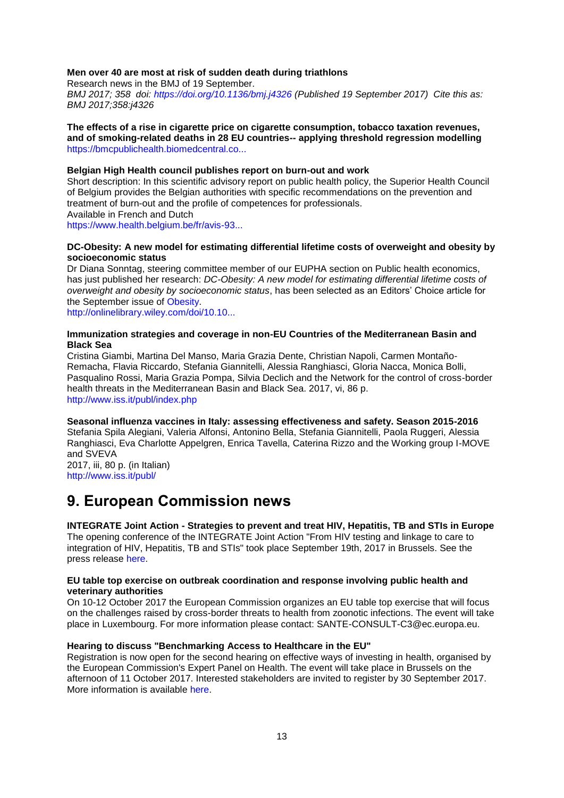#### **Men over 40 are most at risk of sudden death during triathlons**

Research news in the BMJ of 19 September. *BMJ 2017; 358 doi:<https://doi.org/10.1136/bmj.j4326> (Published 19 September 2017) Cite this as: BMJ 2017;358:j4326* 

**The effects of a rise in cigarette price on cigarette consumption, tobacco taxation revenues, and of smoking-related deaths in 28 EU countries-- applying threshold regression modelling** [https://bmcpublichealth.biomedcentral.co...](https://bmcpublichealth.biomedcentral.com/articles/10.1186/s12889-017-4685-x)

#### **Belgian High Health council publishes report on burn-out and work**

Short description: In this scientific advisory report on public health policy, the Superior Health Council of Belgium provides the Belgian authorities with specific recommendations on the prevention and treatment of burn-out and the profile of competences for professionals. Available in French and Dutch

[https://www.health.belgium.be/fr/avis-93...](https://www.health.belgium.be/fr/avis-9339-burnout-et-travail)

#### **DC-Obesity: A new model for estimating differential lifetime costs of overweight and obesity by socioeconomic status**

Dr Diana Sonntag, steering committee member of our EUPHA section on Public health economics, has just published her research: *DC-Obesity: A new model for estimating differential lifetime costs of overweight and obesity by socioeconomic status*, has been selected as an Editors' Choice article for the September issue of [Obesity.](http://onlinelibrary.wiley.com/journal/10.1002/(ISSN)1930-739X)

[http://onlinelibrary.wiley.com/doi/10.10...](http://onlinelibrary.wiley.com/doi/10.1002/oby.21913/full)

#### **Immunization strategies and coverage in non-EU Countries of the Mediterranean Basin and Black Sea**

Cristina Giambi, Martina Del Manso, Maria Grazia Dente, Christian Napoli, Carmen Montaño-Remacha, Flavia Riccardo, Stefania Giannitelli, Alessia Ranghiasci, Gloria Nacca, Monica Bolli, Pasqualino Rossi, Maria Grazia Pompa, Silvia Declich and the Network for the control of cross-border health threats in the Mediterranean Basin and Black Sea. 2017, vi, 86 p. [http://www.iss.it/publ/index.php](http://www.iss.it/publ/index.php?lang=1&id=3061&tipo=5%20%20)

**Seasonal influenza vaccines in Italy: assessing effectiveness and safety. Season 2015-2016** Stefania Spila Alegiani, Valeria Alfonsi, Antonino Bella, Stefania Giannitelli, Paola Ruggeri, Alessia Ranghiasci, Eva Charlotte Appelgren, Enrica Tavella, Caterina Rizzo and the Working group I-MOVE and SVEVA 2017, iii, 80 p. (in Italian)

[http://www.iss.it/publ/](http://www.iss.it/publ/?lang=1&id=3066&tipo=5%20)

## <span id="page-12-0"></span>**9. European Commission news**

**INTEGRATE Joint Action - Strategies to prevent and treat HIV, Hepatitis, TB and STIs in Europe** The opening conference of the INTEGRATE Joint Action "From HIV testing and linkage to care to integration of HIV, Hepatitis, TB and STIs" took place September 19th, 2017 in Brussels. See the press release [here.](https://ec.europa.eu/newsroom/sante/item-detail.cfm?item_id=604178&utm_source=sante_newsroom&utm_medium=Website&utm_campaign=sante&utm_content=%20October%20%20EXPH%20Hearing%20to%20discuss%20Benchmarking%20Access%20to%20Healthcare&lang=en)

#### **EU table top exercise on outbreak coordination and response involving public health and veterinary authorities**

On 10-12 October 2017 the European Commission organizes an EU table top exercise that will focus on the challenges raised by cross-border threats to health from zoonotic infections. The event will take place in Luxembourg. For more information please contact: SANTE-CONSULT-C3@ec.europa.eu.

#### **Hearing to discuss "Benchmarking Access to Healthcare in the EU"**

Registration is now open for the second hearing on effective ways of investing in health, organised by the European Commission's Expert Panel on Health. The event will take place in Brussels on the afternoon of 11 October 2017. Interested stakeholders are invited to register by 30 September 2017. More information is available [here.](http://ec.europa.eu/newsroom/sante/newsletter-specific-archive-issue.cfm?newsletter_service_id=327andnewsletter_issue_id=5175andpage=1andfullDate=Wed%2020%20Sep%202017andlang=default)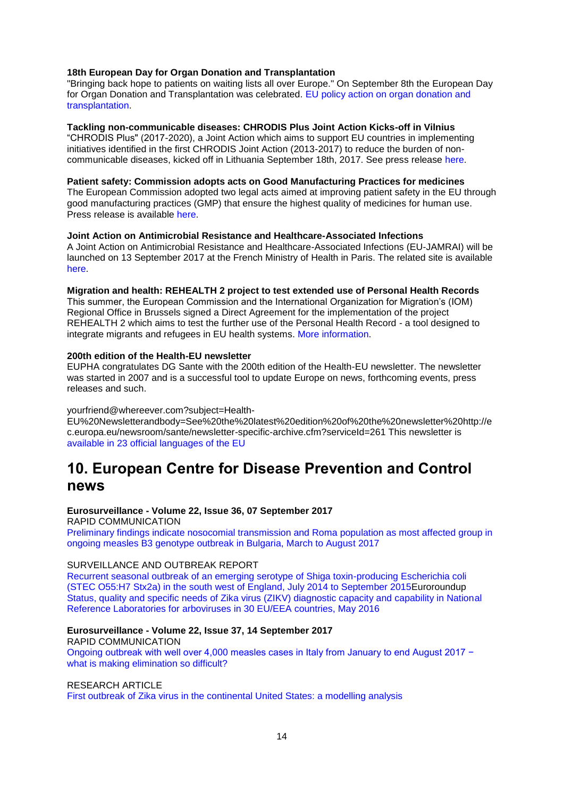#### **18th European Day for Organ Donation and Transplantation**

"Bringing back hope to patients on waiting lists all over Europe." On September 8th the European Day for Organ Donation and Transplantation was celebrated. [EU policy action on organ donation and](https://ec.europa.eu/health/blood_tissues_organs/organs_en)  [transplantation.](https://ec.europa.eu/health/blood_tissues_organs/organs_en)

#### **Tackling non-communicable diseases: CHRODIS Plus Joint Action Kicks-off in Vilnius**

―CHRODIS Plus" (2017-2020), a Joint Action which aims to support EU countries in implementing initiatives identified in the first CHRODIS Joint Action (2013-2017) to reduce the burden of noncommunicable diseases, kicked off in Lithuania September 18th, 2017. See press release [here.](https://ec.europa.eu/newsroom/sante/item-detail.cfm?item_id=603800&utm_source=sante_newsroom&utm_medium=Website&utm_campaign=sante&utm_content=Tackling%20non-communicable%20diseases%20CHRODIS%20Plus%20Joint%20Action%20Kicks-off%20in%20&lang=en)

## **Patient safety: Commission adopts acts on Good Manufacturing Practices for medicines**

The European Commission adopted two legal acts aimed at improving patient safety in the EU through good manufacturing practices (GMP) that ensure the highest quality of medicines for human use. Press release is available [here.](https://ec.europa.eu/newsroom/sante/item-detail.cfm?item_id=603851&utm_source=sante_newsroom&utm_medium=Website&utm_campaign=sante&utm_content=Patient%20safety%20Commission%20adopts%20acts%20on%20Good%20Manufacturing%20Practices%20for%20&lang=en)

#### **Joint Action on Antimicrobial Resistance and Healthcare-Associated Infections**

A Joint Action on Antimicrobial Resistance and Healthcare-Associated Infections (EU-JAMRAI) will be launched on 13 September 2017 at the French Ministry of Health in Paris. The related site is available [here.](http://ec.europa.eu/chafea/news/news522.html)

#### **Migration and health: REHEALTH 2 project to test extended use of Personal Health Records**

This summer, the European Commission and the International Organization for Migration's (IOM) Regional Office in Brussels signed a Direct Agreement for the implementation of the project REHEALTH 2 which aims to test the further use of the Personal Health Record - a tool designed to integrate migrants and refugees in EU health systems. [More information.](http://ec.europa.eu/newsroom/sante/newsletter-specific-archive-issue.cfm?newsletter_service_id=327&newsletter_issue_id=4929&page=1&fullDate=Sun%2009%20Apr%202017&lang=default)

#### **200th edition of the Health-EU newsletter**

EUPHA congratulates DG Sante with the 200th edition of the Health-EU newsletter. The newsletter was started in 2007 and is a successful tool to update Europe on news, forthcoming events, press releases and such.

#### yourfriend@whereever.com?subject=Health-

EU%20Newsletterandbody=See%20the%20latest%20edition%20of%20the%20newsletter%20http://e c.europa.eu/newsroom/sante/newsletter-specific-archive.cfm?serviceId=261 This newsletter is [available in 23 official languages of the EU](http://ec.europa.eu/newsroom/sante/newsletter-specific-archive.cfm?serviceId=261)

## <span id="page-13-0"></span>**10. European Centre for Disease Prevention and Control news**

#### **Eurosurveillance - Volume 22, Issue 36, 07 September 2017**

RAPID COMMUNICATION

[Preliminary findings indicate nosocomial transmission and Roma population as most affected group in](http://www.eurosurveillance.org/content/10.2807/1560-7917.ES.2017.22.36.30611)  [ongoing measles B3 genotype outbreak in Bulgaria, March to August 2017](http://www.eurosurveillance.org/content/10.2807/1560-7917.ES.2017.22.36.30611)

### SURVEILLANCE AND OUTBREAK REPORT

[Recurrent seasonal outbreak of an emerging serotype of Shiga toxin-producing Escherichia coli](http://www.eurosurveillance.org/content/10.2807/1560-7917.ES.2017.22.36.30610)  [\(STEC O55:H7 Stx2a\) in the south west of England, July 2014 to September 2015E](http://www.eurosurveillance.org/content/10.2807/1560-7917.ES.2017.22.36.30610)uroroundup [Status, quality and specific needs of Zika virus \(ZIKV\) diagnostic capacity and capability in National](http://www.eurosurveillance.org/content/10.2807/1560-7917.ES.2017.22.36.30609)  [Reference Laboratories for arboviruses in 30 EU/EEA countries, May 2016](http://www.eurosurveillance.org/content/10.2807/1560-7917.ES.2017.22.36.30609)

### **Eurosurveillance - Volume 22, Issue 37, 14 September 2017**

RAPID COMMUNICATION [Ongoing outbreak with well over 4,000 measles cases in Italy from January to end August 2017 −](http://www.eurosurveillance.org/content/10.2807/1560-7917.ES.2017.22.37.30614)  [what is making elimination so difficult?](http://www.eurosurveillance.org/content/10.2807/1560-7917.ES.2017.22.37.30614)

#### RESEARCH ARTICLE

[First outbreak of Zika virus in the continental United States: a modelling analysis](http://www.eurosurveillance.org/content/10.2807/1560-7917.ES.2017.22.37.30612)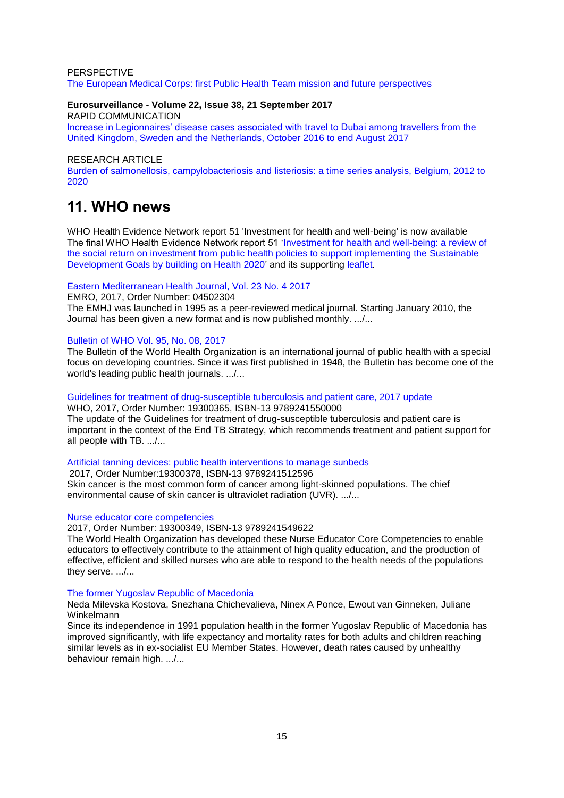#### PERSPECTIVE [The European Medical Corps: first Public Health Team mission and future perspectives](http://www.eurosurveillance.org/content/10.2807/1560-7917.ES.2017.22.37.30613)

### **Eurosurveillance - Volume 22, Issue 38, 21 September 2017**

RAPID COMMUNICATION

[Increase in Legionnaires' disease cases associated with travel to Dubai among travellers from the](http://www.eurosurveillance.org/content/10.2807/1560-7917.ES.2017.22.38.30618)  [United Kingdom, Sweden and the Netherlands, October 2016 to end August 2017](http://www.eurosurveillance.org/content/10.2807/1560-7917.ES.2017.22.38.30618)

### RESEARCH ARTICLE

[Burden of salmonellosis, campylobacteriosis and listeriosis: a time series analysis, Belgium, 2012 to](http://www.eurosurveillance.org/content/10.2807/1560-7917.ES.2017.22.38.30615)  [2020](http://www.eurosurveillance.org/content/10.2807/1560-7917.ES.2017.22.38.30615)

## <span id="page-14-0"></span>**11. WHO news**

WHO Health Evidence Network report 51 'Investment for health and well-being' is now available The final WHO Health Evidence Network report 51 'Investment for health and well-being: a review of [the social return on investment from public health policies to support implementing the Sustainable](http://www.euro.who.int/en/countries/italy/publications/investment-for-health-and-well-being-a-review-of-the-social-return-on-investment-from-public-health-policies-to-support-implementing-the-sustainable-development-goals-by-building-on-health-2020-2017)  [Development Goals by building on Health 2020'](http://www.euro.who.int/en/countries/italy/publications/investment-for-health-and-well-being-a-review-of-the-social-return-on-investment-from-public-health-policies-to-support-implementing-the-sustainable-development-goals-by-building-on-health-2020-2017) and its supporting [leaflet](http://www.euro.who.int/__data/assets/pdf_file/0010/347932/Leaflet-HEN51-Web-single-pages.pdf)*.*

## [Eastern Mediterranean Health Journal, Vol. 23 No. 4 2017](http://apps.who.int/bookorders/anglais/detart1.jsp?codlan=0&codcol=45&codcch=2304)

EMRO, 2017, Order Number: 04502304

The EMHJ was launched in 1995 as a peer-reviewed medical journal. Starting January 2010, the Journal has been given a new format and is now published monthly. .../...

### [Bulletin of WHO Vol. 95, No. 08, 2017](http://apps.who.int/bookorders/anglais/detart1.jsp?codlan=0&codcol=2&codcch=9508)

The Bulletin of the World Health Organization is an international journal of public health with a special focus on developing countries. Since it was first published in 1948, the Bulletin has become one of the world's leading public health journals. .../...

#### [Guidelines for treatment of drug-susceptible tuberculosis and patient care, 2017 update](http://apps.who.int/bookorders/anglais/detart1.jsp?codlan=1&codcol=93&codcch=365) WHO, 2017, Order Number: 19300365, ISBN-13 9789241550000

The update of the Guidelines for treatment of drug-susceptible tuberculosis and patient care is important in the context of the End TB Strategy, which recommends treatment and patient support for all people with TB. .../...

#### [Artificial tanning devices: public health interventions to manage sunbeds](http://apps.who.int/bookorders/anglais/detart1.jsp?codlan=1&codcol=93&codcch=378)

2017, Order Number:19300378, ISBN-13 9789241512596 Skin cancer is the most common form of cancer among light-skinned populations. The chief environmental cause of skin cancer is ultraviolet radiation (UVR). .......

## [Nurse educator core competencies](http://apps.who.int/bookorders/anglais/detart1.jsp?codlan=1&codcol=93&codcch=349)

2017, Order Number: 19300349, ISBN-13 9789241549622

The World Health Organization has developed these Nurse Educator Core Competencies to enable educators to effectively contribute to the attainment of high quality education, and the production of effective, efficient and skilled nurses who are able to respond to the health needs of the populations they serve. .../...

#### [The former Yugoslav Republic of Macedonia](http://apps.who.int/bookorders/anglais/detart1.jsp?codlan=1&codcol=36&codcch=1903)

Neda Milevska Kostova, Snezhana Chichevalieva, Ninex A Ponce, Ewout van Ginneken, Juliane Winkelmann

Since its independence in 1991 population health in the former Yugoslav Republic of Macedonia has improved significantly, with life expectancy and mortality rates for both adults and children reaching similar levels as in ex-socialist EU Member States. However, death rates caused by unhealthy behaviour remain high. .../...